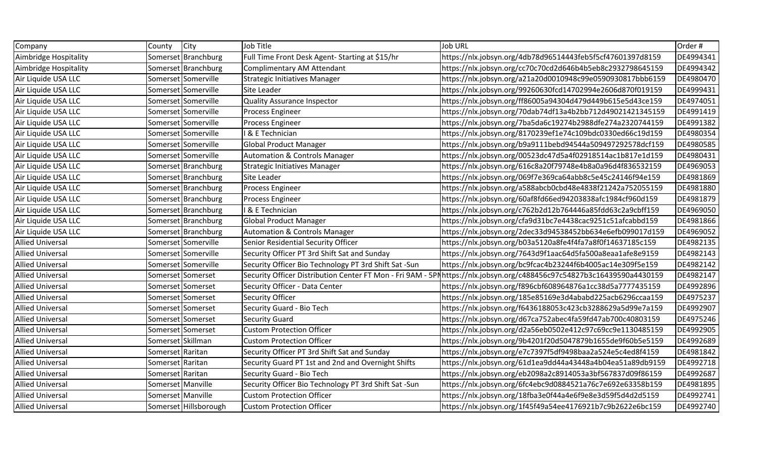| Company                 | County              | <b>City</b>           | Job Title                                             | <b>Job URL</b>                                                                                                        | Order#    |
|-------------------------|---------------------|-----------------------|-------------------------------------------------------|-----------------------------------------------------------------------------------------------------------------------|-----------|
| Aimbridge Hospitality   |                     | Somerset Branchburg   | Full Time Front Desk Agent- Starting at \$15/hr       | https://nlx.jobsyn.org/4db78d96514443feb5f5cf47601397d8159                                                            | DE4994341 |
| Aimbridge Hospitality   |                     | Somerset Branchburg   | Complimentary AM Attendant                            | https://nlx.jobsyn.org/cc70c70cd2d646b4b5eb8c2932798645159                                                            | DE4994342 |
| Air Liquide USA LLC     |                     | Somerset Somerville   | <b>Strategic Initiatives Manager</b>                  | https://nlx.jobsyn.org/a21a20d0010948c99e0590930817bbb6159                                                            | DE4980470 |
| Air Liquide USA LLC     |                     | Somerset Somerville   | Site Leader                                           | https://nlx.jobsyn.org/99260630fcd14702994e2606d870f019159                                                            | DE4999431 |
| Air Liquide USA LLC     |                     | Somerset Somerville   | <b>Quality Assurance Inspector</b>                    | https://nlx.jobsyn.org/ff86005a94304d479d449b615e5d43ce159                                                            | DE4974051 |
| Air Liquide USA LLC     |                     | Somerset Somerville   | Process Engineer                                      | https://nlx.jobsyn.org/70dab74df13a4b2bb712d49021421345159                                                            | DE4991419 |
| Air Liquide USA LLC     |                     | Somerset Somerville   | <b>Process Engineer</b>                               | https://nlx.jobsyn.org/7ba5da6c19274b2988dfe274a2320744159                                                            | DE4991382 |
| Air Liquide USA LLC     |                     | Somerset Somerville   | & E Technician                                        | https://nlx.jobsyn.org/8170239ef1e74c109bdc0330ed66c19d159                                                            | DE4980354 |
| Air Liquide USA LLC     |                     | Somerset Somerville   | <b>Global Product Manager</b>                         | https://nlx.jobsyn.org/b9a9111bebd94544a509497292578dcf159                                                            | DE4980585 |
| Air Liquide USA LLC     |                     | Somerset Somerville   | <b>Automation &amp; Controls Manager</b>              | https://nlx.jobsyn.org/00523dc47d5a4f02918514ac1b817e1d159                                                            | DE4980431 |
| Air Liquide USA LLC     |                     | Somerset Branchburg   | <b>Strategic Initiatives Manager</b>                  | https://nlx.jobsyn.org/616c8a20f79748e4b8a0a96d4f836532159                                                            | DE4969053 |
| Air Liquide USA LLC     |                     | Somerset Branchburg   | Site Leader                                           | https://nlx.jobsyn.org/069f7e369ca64abb8c5e45c24146f94e159                                                            | DE4981869 |
| Air Liquide USA LLC     |                     | Somerset Branchburg   | <b>Process Engineer</b>                               | https://nlx.jobsyn.org/a588abcb0cbd48e4838f21242a752055159                                                            | DE4981880 |
| Air Liquide USA LLC     |                     | Somerset Branchburg   | Process Engineer                                      | https://nlx.jobsyn.org/60af8fd66ed94203838afc1984cf960d159                                                            | DE4981879 |
| Air Liquide USA LLC     |                     | Somerset Branchburg   | & E Technician                                        | https://nlx.jobsyn.org/c762b2d12b764446a85fdd63c2a9cbff159                                                            | DE4969050 |
| Air Liquide USA LLC     |                     | Somerset Branchburg   | <b>Global Product Manager</b>                         | https://nlx.jobsyn.org/cfa9d31bc7e4438cac9251c51afcabbd159                                                            | DE4981866 |
| Air Liquide USA LLC     |                     | Somerset Branchburg   | <b>Automation &amp; Controls Manager</b>              | https://nlx.jobsyn.org/2dec33d94538452bb634e6efb099017d159                                                            | DE4969052 |
| <b>Allied Universal</b> |                     | Somerset Somerville   | Senior Residential Security Officer                   | https://nlx.jobsyn.org/b03a5120a8fe4f4fa7a8f0f14637185c159                                                            | DE4982135 |
| <b>Allied Universal</b> |                     | Somerset Somerville   | Security Officer PT 3rd Shift Sat and Sunday          | https://nlx.jobsyn.org/7643d9f1aac64d5fa500a8eaa1afe8e9159                                                            | DE4982143 |
| <b>Allied Universal</b> |                     | Somerset Somerville   | Security Officer Bio Technology PT 3rd Shift Sat -Sun | https://nlx.jobsyn.org/bc9fcac4b23244f6b4005ac14e309f5e159                                                            | DE4982142 |
| <b>Allied Universal</b> |                     | Somerset Somerset     |                                                       | Security Officer Distribution Center FT Mon - Fri 9AM - 5PNhttps://nlx.jobsyn.org/c488456c97c54827b3c16439590a4430159 | DE4982147 |
| <b>Allied Universal</b> |                     | Somerset Somerset     | Security Officer - Data Center                        | https://nlx.jobsyn.org/f896cbf608964876a1cc38d5a7777435159                                                            | DE4992896 |
| <b>Allied Universal</b> |                     | Somerset Somerset     | Security Officer                                      | https://nlx.jobsyn.org/185e85169e3d4ababd225acb6296ccaa159                                                            | DE4975237 |
| <b>Allied Universal</b> |                     | Somerset Somerset     | Security Guard - Bio Tech                             | https://nlx.jobsyn.org/f6436188053c423cb3288629a5d99e7a159                                                            | DE4992907 |
| <b>Allied Universal</b> |                     | Somerset Somerset     | <b>Security Guard</b>                                 | https://nlx.jobsyn.org/d67ca752abec4fa59fd47ab700c40803159                                                            | DE4975246 |
| <b>Allied Universal</b> |                     | Somerset Somerset     | <b>Custom Protection Officer</b>                      | https://nlx.jobsyn.org/d2a56eb0502e412c97c69cc9e1130485159                                                            | DE4992905 |
| <b>Allied Universal</b> | Somerset Skillman   |                       | <b>Custom Protection Officer</b>                      | https://nlx.jobsyn.org/9b4201f20d5047879b1655de9f60b5e5159                                                            | DE4992689 |
| <b>Allied Universal</b> | Somerset Raritan    |                       | Security Officer PT 3rd Shift Sat and Sunday          | https://nlx.jobsyn.org/e7c7397f5df9498baa2a524e5c4ed8f4159                                                            | DE4981842 |
| <b>Allied Universal</b> | Somerset Raritan    |                       | Security Guard PT 1st and 2nd and Overnight Shifts    | https://nlx.jobsyn.org/61d1ea9dd44a43448a4b04ea51a89db9159                                                            | DE4992718 |
| <b>Allied Universal</b> | Somerset Raritan    |                       | Security Guard - Bio Tech                             | https://nlx.jobsyn.org/eb2098a2c8914053a3bf567837d09f86159                                                            | DE4992687 |
| <b>Allied Universal</b> | Somerset Manville   |                       | Security Officer Bio Technology PT 3rd Shift Sat -Sun | https://nlx.jobsyn.org/6fc4ebc9d0884521a76c7e692e63358b159                                                            | DE4981895 |
| <b>Allied Universal</b> | Somerset   Manville |                       | <b>Custom Protection Officer</b>                      | https://nlx.jobsyn.org/18fba3e0f44a4e6f9e8e3d59f5d4d2d5159                                                            | DE4992741 |
| <b>Allied Universal</b> |                     | Somerset Hillsborough | <b>Custom Protection Officer</b>                      | https://nlx.jobsyn.org/1f45f49a54ee4176921b7c9b2622e6bc159                                                            | DE4992740 |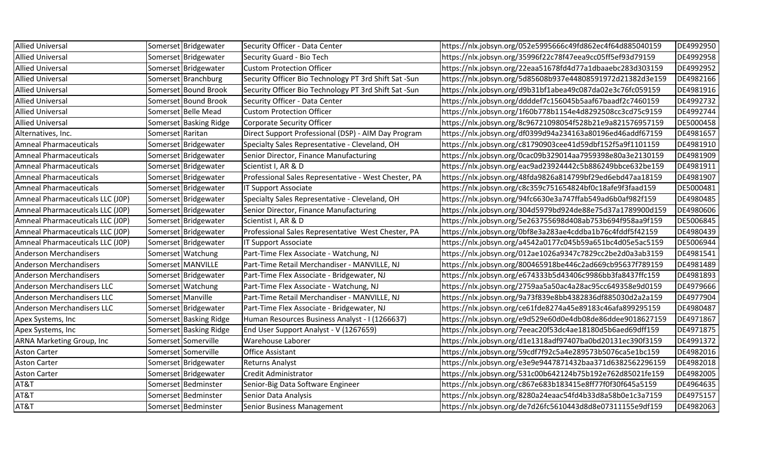| <b>Allied Universal</b>           |                  | Somerset Bridgewater   | Security Officer - Data Center                        | https://nlx.jobsyn.org/052e5995666c49fd862ec4f64d885040159 | DE4992950 |
|-----------------------------------|------------------|------------------------|-------------------------------------------------------|------------------------------------------------------------|-----------|
| <b>Allied Universal</b>           |                  | Somerset Bridgewater   | Security Guard - Bio Tech                             | https://nlx.jobsyn.org/35996f22c78f47eea9cc05ff5ef93d79159 | DE4992958 |
| <b>Allied Universal</b>           |                  | Somerset Bridgewater   | <b>Custom Protection Officer</b>                      | https://nlx.jobsyn.org/22eaa51678fd4d77a1dbaaebc283d303159 | DE4992952 |
| <b>Allied Universal</b>           |                  | Somerset Branchburg    | Security Officer Bio Technology PT 3rd Shift Sat -Sun | https://nlx.jobsyn.org/5d85608b937e44808591972d21382d3e159 | DE4982166 |
| <b>Allied Universal</b>           |                  | Somerset Bound Brook   | Security Officer Bio Technology PT 3rd Shift Sat -Sun | https://nlx.jobsyn.org/d9b31bf1abea49c087da02e3c76fc059159 | DE4981916 |
| <b>Allied Universal</b>           |                  | Somerset Bound Brook   | Security Officer - Data Center                        | https://nlx.jobsyn.org/ddddef7c156045b5aaf67baadf2c7460159 | DE4992732 |
| <b>Allied Universal</b>           |                  | Somerset Belle Mead    | <b>Custom Protection Officer</b>                      | https://nlx.jobsyn.org/1f60b778b1154e4d8292508cc3cd75c9159 | DE4992744 |
| <b>Allied Universal</b>           |                  | Somerset Basking Ridge | Corporate Security Officer                            | https://nlx.jobsyn.org/8c96721098054f528b21e9a821576957159 | DE5000458 |
| Alternatives, Inc.                | Somerset Raritan |                        | Direct Support Professional (DSP) - AIM Day Program   | https://nlx.jobsyn.org/df0399d94a234163a80196ed46addf67159 | DE4981657 |
| <b>Amneal Pharmaceuticals</b>     |                  | Somerset Bridgewater   | Specialty Sales Representative - Cleveland, OH        | https://nlx.jobsyn.org/c81790903cee41d59dbf152f5a9f1101159 | DE4981910 |
| <b>Amneal Pharmaceuticals</b>     |                  | Somerset Bridgewater   | Senior Director, Finance Manufacturing                | https://nlx.jobsyn.org/0cac09b329014aa7959398e80a3e2130159 | DE4981909 |
| <b>Amneal Pharmaceuticals</b>     |                  | Somerset Bridgewater   | Scientist I, AR & D                                   | https://nlx.jobsyn.org/eac9ad23924442c5b886249bbce632be159 | DE4981911 |
| <b>Amneal Pharmaceuticals</b>     |                  | Somerset Bridgewater   | Professional Sales Representative - West Chester, PA  | https://nlx.jobsyn.org/48fda9826a814799bf29ed6ebd47aa18159 | DE4981907 |
| <b>Amneal Pharmaceuticals</b>     |                  | Somerset Bridgewater   | IT Support Associate                                  | https://nlx.jobsyn.org/c8c359c751654824bf0c18afe9f3faad159 | DE5000481 |
| Amneal Pharmaceuticals LLC (JOP)  |                  | Somerset Bridgewater   | Specialty Sales Representative - Cleveland, OH        | https://nlx.jobsyn.org/94fc6630e3a747ffab549ad6b0af982f159 | DE4980485 |
| Amneal Pharmaceuticals LLC (JOP)  |                  | Somerset Bridgewater   | Senior Director, Finance Manufacturing                | https://nlx.jobsyn.org/304d5979bd924de88e75d37a1789900d159 | DE4980606 |
| Amneal Pharmaceuticals LLC (JOP)  |                  | Somerset Bridgewater   | Scientist I, AR & D                                   | https://nlx.jobsyn.org/5e263755698d408ab753b694f958aa9f159 | DE5006845 |
| Amneal Pharmaceuticals LLC (JOP)  |                  | Somerset Bridgewater   | Professional Sales Representative West Chester, PA    | https://nlx.jobsyn.org/0bf8e3a283ae4cddba1b76c4fddf5f42159 | DE4980439 |
| Amneal Pharmaceuticals LLC (JOP)  |                  | Somerset Bridgewater   | IT Support Associate                                  | https://nlx.jobsyn.org/a4542a0177c045b59a651bc4d05e5ac5159 | DE5006944 |
| <b>Anderson Merchandisers</b>     |                  | Somerset Watchung      | Part-Time Flex Associate - Watchung, NJ               | https://nlx.jobsyn.org/012ae1026a9347c7829cc2be2d0a3ab3159 | DE4981541 |
| <b>Anderson Merchandisers</b>     |                  | Somerset MANVILLE      | Part-Time Retail Merchandiser - MANVILLE, NJ          | https://nlx.jobsyn.org/800465918be446c2ad669cb95637f789159 | DE4981489 |
| <b>Anderson Merchandisers</b>     |                  | Somerset Bridgewater   | Part-Time Flex Associate - Bridgewater, NJ            | https://nlx.jobsyn.org/e674333b5d43406c9986bb3fa8437ffc159 | DE4981893 |
| <b>Anderson Merchandisers LLC</b> |                  | Somerset Watchung      | Part-Time Flex Associate - Watchung, NJ               | https://nlx.jobsyn.org/2759aa5a50ac4a28ac95cc649358e9d0159 | DE4979666 |
| <b>Anderson Merchandisers LLC</b> |                  | Somerset Manville      | Part-Time Retail Merchandiser - MANVILLE, NJ          | https://nlx.jobsyn.org/9a73f839e8bb4382836df885030d2a2a159 | DE4977904 |
| <b>Anderson Merchandisers LLC</b> |                  | Somerset Bridgewater   | Part-Time Flex Associate - Bridgewater, NJ            | https://nlx.jobsyn.org/ce61fde8274a45e89183c46afa899295159 | DE4980487 |
| Apex Systems, Inc                 |                  | Somerset Basking Ridge | Human Resources Business Analyst - I (1266637)        | https://nlx.jobsyn.org/e9d529e60d0e4db08de86ddee9018627159 | DE4971867 |
| Apex Systems, Inc                 |                  | Somerset Basking Ridge | End User Support Analyst - V (1267659)                | https://nlx.jobsyn.org/7eeac20f53dc4ae18180d5b6aed69dff159 | DE4971875 |
| ARNA Marketing Group, Inc         |                  | Somerset Somerville    | Warehouse Laborer                                     | https://nlx.jobsyn.org/d1e1318adf97407ba0bd20131ec390f3159 | DE4991372 |
| <b>Aston Carter</b>               |                  | Somerset Somerville    | <b>Office Assistant</b>                               | https://nlx.jobsyn.org/59cdf7f92c5a4e289573b5076ca5e1bc159 | DE4982016 |
| <b>Aston Carter</b>               |                  | Somerset Bridgewater   | <b>Returns Analyst</b>                                | https://nlx.jobsyn.org/e3e9e9447871432baa371d6382562296159 | DE4982018 |
| <b>Aston Carter</b>               |                  | Somerset Bridgewater   | Credit Administrator                                  | https://nlx.jobsyn.org/531c00b642124b75b192e762d85021fe159 | DE4982005 |
| AT&T                              |                  | Somerset Bedminster    | Senior-Big Data Software Engineer                     | https://nlx.jobsyn.org/c867e683b183415e8ff77f0f30f645a5159 | DE4964635 |
| AT&T                              |                  | Somerset Bedminster    | Senior Data Analysis                                  | https://nlx.jobsyn.org/8280a24eaac54fd4b33d8a58b0e1c3a7159 | DE4975157 |
| AT&T                              |                  | Somerset Bedminster    | <b>Senior Business Management</b>                     | https://nlx.jobsyn.org/de7d26fc5610443d8d8e07311155e9df159 | DE4982063 |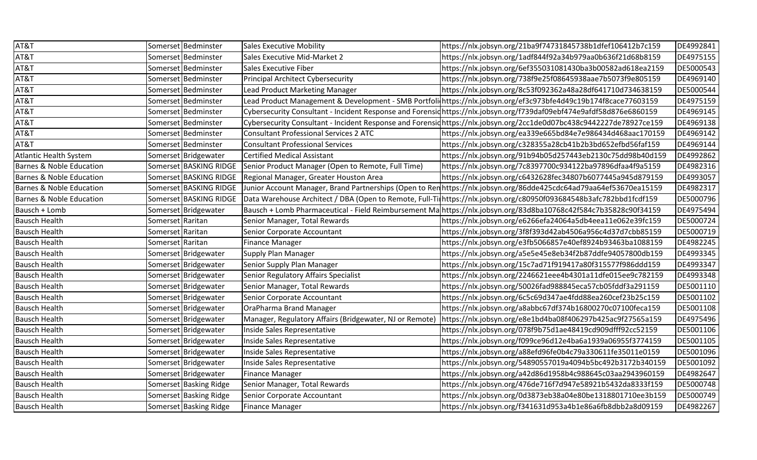| AT&T                                |                  | Somerset Bedminster    | Sales Executive Mobility                                | https://nlx.jobsyn.org/21ba9f74731845738b1dfef106412b7c159                                                          | DE4992841 |
|-------------------------------------|------------------|------------------------|---------------------------------------------------------|---------------------------------------------------------------------------------------------------------------------|-----------|
| AT&T                                |                  | Somerset Bedminster    | Sales Executive Mid-Market 2                            | https://nlx.jobsyn.org/1adf844f92a34b979aa0b636f21d68b8159                                                          | DE4975155 |
| AT&T                                |                  | Somerset Bedminster    | Sales Executive Fiber                                   | https://nlx.jobsyn.org/6ef355031081430ba3b00582ad618ea2159                                                          | DE5000543 |
| AT&T                                |                  | Somerset Bedminster    | Principal Architect Cybersecurity                       | https://nlx.jobsyn.org/738f9e25f08645938aae7b5073f9e805159                                                          | DE4969140 |
| AT&T                                |                  | Somerset Bedminster    | Lead Product Marketing Manager                          | https://nlx.jobsyn.org/8c53f092362a48a28df641710d734638159                                                          | DE5000544 |
| AT&T                                |                  | Somerset Bedminster    |                                                         | Lead Product Management & Development - SMB Portfoli https://nlx.jobsyn.org/ef3c973bfe4d49c19b174f8cace77603159     | DE4975159 |
| AT&T                                |                  | Somerset Bedminster    |                                                         | Cybersecurity Consultant - Incident Response and Forensidhttps://nlx.jobsyn.org/f739daf09ebf474e9afdf58d876e6860159 | DE4969145 |
| AT&T                                |                  | Somerset Bedminster    |                                                         | Cybersecurity Consultant - Incident Response and Forensidhttps://nlx.jobsyn.org/2cc1de0d07bc438c9442227de78927ce159 | DE4969138 |
| AT&T                                |                  | Somerset Bedminster    | <b>Consultant Professional Services 2 ATC</b>           | https://nlx.jobsyn.org/ea339e665bd84e7e986434d468aac170159                                                          | DE4969142 |
| AT&T                                |                  | Somerset Bedminster    | <b>Consultant Professional Services</b>                 | https://nlx.jobsyn.org/c328355a28cb41b2b3bd652efbd56faf159                                                          | DE4969144 |
| <b>Atlantic Health System</b>       |                  | Somerset Bridgewater   | <b>Certified Medical Assistant</b>                      | https://nlx.jobsyn.org/91b94b05d257443eb2130c75dd98b40d159                                                          | DE4992862 |
| <b>Barnes &amp; Noble Education</b> |                  | Somerset BASKING RIDGE | Senior Product Manager (Open to Remote, Full Time)      | https://nlx.jobsyn.org/7c8397700c934122ba97896dfaa4f9a5159                                                          | DE4982316 |
| <b>Barnes &amp; Noble Education</b> |                  | Somerset BASKING RIDGE | Regional Manager, Greater Houston Area                  | https://nlx.jobsyn.org/c6432628fec34807b6077445a945d879159                                                          | DE4993057 |
| <b>Barnes &amp; Noble Education</b> |                  | Somerset BASKING RIDGE |                                                         | Junior Account Manager, Brand Partnerships (Open to Renhttps://nlx.jobsyn.org/86dde425cdc64ad79aa64ef53670ea15159   | DE4982317 |
| <b>Barnes &amp; Noble Education</b> |                  | Somerset BASKING RIDGE |                                                         | Data Warehouse Architect / DBA (Open to Remote, Full-Tirhttps://nlx.jobsyn.org/c80950f093684548b3afc782bbd1fcdf159  | DE5000796 |
| Bausch + Lomb                       |                  | Somerset Bridgewater   |                                                         | Bausch + Lomb Pharmaceutical - Field Reimbursement Ma https://nlx.jobsyn.org/83d8ba10768c42f584c7b35828c90f34159    | DE4975494 |
| <b>Bausch Health</b>                | Somerset Raritan |                        | Senior Manager, Total Rewards                           | https://nlx.jobsyn.org/e6266efa24064a5db4eea11e062e39fc159                                                          | DE5000724 |
| <b>Bausch Health</b>                | Somerset Raritan |                        | Senior Corporate Accountant                             | https://nlx.jobsyn.org/3f8f393d42ab4506a956c4d37d7cbb85159                                                          | DE5000719 |
| <b>Bausch Health</b>                | Somerset Raritan |                        | <b>Finance Manager</b>                                  | https://nlx.jobsyn.org/e3fb5066857e40ef8924b93463ba1088159                                                          | DE4982245 |
| <b>Bausch Health</b>                |                  | Somerset Bridgewater   | Supply Plan Manager                                     | https://nlx.jobsyn.org/a5e5e45e8eb34f2b87ddfe94057800db159                                                          | DE4993345 |
| <b>Bausch Health</b>                |                  | Somerset Bridgewater   | Senior Supply Plan Manager                              | https://nlx.jobsyn.org/15c7ad71f919417a80f315577f986ddd159                                                          | DE4993347 |
| <b>Bausch Health</b>                |                  | Somerset Bridgewater   | Senior Regulatory Affairs Specialist                    | https://nlx.jobsyn.org/2246621eee4b4301a11dfe015ee9c782159                                                          | DE4993348 |
| <b>Bausch Health</b>                |                  | Somerset Bridgewater   | Senior Manager, Total Rewards                           | https://nlx.jobsyn.org/50026fad988845eca57cb05fddf3a291159                                                          | DE5001110 |
| <b>Bausch Health</b>                |                  | Somerset Bridgewater   | Senior Corporate Accountant                             | https://nlx.jobsyn.org/6c5c69d347ae4fdd88ea260cef23b25c159                                                          | DE5001102 |
| <b>Bausch Health</b>                |                  | Somerset Bridgewater   | OraPharma Brand Manager                                 | https://nlx.jobsyn.org/a8abbc67df374b16800270c07100feca159                                                          | DE5001108 |
| <b>Bausch Health</b>                |                  | Somerset Bridgewater   | Manager, Regulatory Affairs (Bridgewater, NJ or Remote) | https://nlx.jobsyn.org/e8e1bd4ba08f406297b425ac9f27565a159                                                          | DE4975496 |
| <b>Bausch Health</b>                |                  | Somerset Bridgewater   | Inside Sales Representative                             | https://nlx.jobsyn.org/078f9b75d1ae48419cd909dfff92cc52159                                                          | DE5001106 |
| <b>Bausch Health</b>                |                  | Somerset Bridgewater   | Inside Sales Representative                             | https://nlx.jobsyn.org/f099ce96d12e4ba6a1939a06955f3774159                                                          | DE5001105 |
| <b>Bausch Health</b>                |                  | Somerset Bridgewater   | Inside Sales Representative                             | https://nlx.jobsyn.org/a88efd96fe0b4c79a330611fe35011e0159                                                          | DE5001096 |
| <b>Bausch Health</b>                |                  | Somerset Bridgewater   | Inside Sales Representative                             | https://nlx.jobsyn.org/54890557019a4094b5bc492b3172b340159                                                          | DE5001092 |
| <b>Bausch Health</b>                |                  | Somerset Bridgewater   | <b>Finance Manager</b>                                  | https://nlx.jobsyn.org/a42d86d1958b4c988645c03aa2943960159                                                          | DE4982647 |
| <b>Bausch Health</b>                |                  | Somerset Basking Ridge | Senior Manager, Total Rewards                           | https://nlx.jobsyn.org/476de716f7d947e58921b5432da8333f159                                                          | DE5000748 |
| <b>Bausch Health</b>                |                  | Somerset Basking Ridge | Senior Corporate Accountant                             | https://nlx.jobsyn.org/0d3873eb38a04e80be1318801710ee3b159                                                          | DE5000749 |
| <b>Bausch Health</b>                |                  | Somerset Basking Ridge | <b>Finance Manager</b>                                  | https://nlx.jobsyn.org/f341631d953a4b1e86a6fb8dbb2a8d09159                                                          | DE4982267 |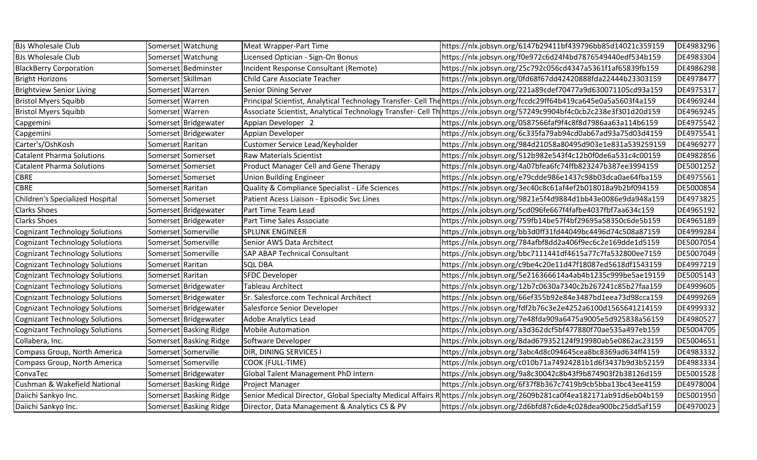| <b>BJs Wholesale Club</b>             |                   | Somerset Watchung      | Meat Wrapper-Part Time                          | https://nlx.jobsyn.org/6147b29411bf439796bb85d14021c359159                                                               | DE4983296 |
|---------------------------------------|-------------------|------------------------|-------------------------------------------------|--------------------------------------------------------------------------------------------------------------------------|-----------|
| <b>BJs Wholesale Club</b>             |                   | Somerset Watchung      | Licensed Optician - Sign-On Bonus               | https://nlx.jobsyn.org/f0e972c6d24f4bd7876549440edf534b159                                                               | DE4983304 |
| <b>BlackBerry Corporation</b>         |                   | Somerset Bedminster    | Incident Response Consultant (Remote)           | https://nlx.jobsyn.org/25c792c056cd4347a5361f1af65839fb159                                                               | DE4986298 |
| <b>Bright Horizons</b>                | Somerset Skillman |                        | <b>Child Care Associate Teacher</b>             | https://nlx.jobsyn.org/0fd68f67dd42420888fda22444b23303159                                                               | DE4978477 |
| <b>Brightview Senior Living</b>       | Somerset Warren   |                        | Senior Dining Server                            | https://nlx.jobsyn.org/221a89cdef70477a9d630071105cd93a159                                                               | DE4975317 |
| <b>Bristol Myers Squibb</b>           | Somerset   Warren |                        |                                                 | Principal Scientist, Analytical Technology Transfer- Cell The https://nlx.jobsyn.org/fccdc29ff64b419ca645e0a5a5603f4a159 | DE4969244 |
| <b>Bristol Myers Squibb</b>           | Somerset   Warren |                        |                                                 | Associate Scientist, Analytical Technology Transfer- Cell Th https://nlx.jobsyn.org/57249c9904bf4c0cb2c238e3f301d20d159  | DE4969245 |
| Capgemini                             |                   | Somerset Bridgewater   | Appian Developer 2                              | https://nlx.jobsyn.org/0587566faf9f4c8f8d7986aa63a114b6159                                                               | DE4975542 |
| Capgemini                             |                   | Somerset Bridgewater   | Appian Developer                                | https://nlx.jobsyn.org/6c335fa79ab94cd0ab67ad93a75d03d4159                                                               | DE4975541 |
| Carter's/OshKosh                      | Somerset Raritan  |                        | Customer Service Lead/Keyholder                 | https://nlx.jobsyn.org/984d21058a80495d903e1e831a539259159                                                               | DE4969277 |
| <b>Catalent Pharma Solutions</b>      |                   | Somerset Somerset      | Raw Materials Scientist                         | https://nlx.jobsyn.org/512b982e543f4c12b0f0de6a531c4c00159                                                               | DE4982856 |
| <b>Catalent Pharma Solutions</b>      |                   | Somerset Somerset      | Product Manager Cell and Gene Therapy           | https://nlx.jobsyn.org/4a07bfea6fc74ffb823247b387ee3994159                                                               | DE5001252 |
| <b>CBRE</b>                           |                   | Somerset Somerset      | <b>Union Building Engineer</b>                  | https://nlx.jobsyn.org/e79cdde986e1437c98b03dca0ae64fba159                                                               | DE4975561 |
| <b>CBRE</b>                           | Somerset Raritan  |                        | Quality & Compliance Specialist - Life Sciences | https://nlx.jobsyn.org/3ec40c8c61af4ef2b018018a9b2bf094159                                                               | DE5000854 |
| Children's Specialized Hospital       |                   | Somerset Somerset      | Patient Acess Liaison - Episodic Svc Lines      | https://nlx.jobsyn.org/9821e5f4d9884d1bb43e0086e9da948a159                                                               | DE4973825 |
| <b>Clarks Shoes</b>                   |                   | Somerset Bridgewater   | Part Time Team Lead                             | https://nlx.jobsyn.org/5cd096fe667f4fafbe4037fbf7aa634c159                                                               | DE4965192 |
| <b>Clarks Shoes</b>                   |                   | Somerset Bridgewater   | Part Time Sales Associate                       | https://nlx.jobsyn.org/759fb14be57f4bf29695a58350c6de5b159                                                               | DE4965189 |
| <b>Cognizant Technology Solutions</b> |                   | Somerset Somerville    | <b>SPLUNK ENGINEER</b>                          | https://nlx.jobsyn.org/bb3d0ff31fd44049bc4496d74c508a87159                                                               | DE4999284 |
| <b>Cognizant Technology Solutions</b> |                   | Somerset Somerville    | Senior AWS Data Architect                       | https://nlx.jobsyn.org/784afbf8dd2a406f9ec6c2e169dde1d5159                                                               | DE5007054 |
| <b>Cognizant Technology Solutions</b> |                   | Somerset Somerville    | SAP ABAP Technical Consultant                   | https://nlx.jobsyn.org/bbc7111441df4615a77c7fa532800ee7159                                                               | DE5007049 |
| <b>Cognizant Technology Solutions</b> | Somerset Raritan  |                        | <b>SQL DBA</b>                                  | https://nlx.jobsyn.org/c9be4c20e11d47f18087ed5618df1543159                                                               | DE4997219 |
| <b>Cognizant Technology Solutions</b> | Somerset Raritan  |                        | <b>SFDC Developer</b>                           | https://nlx.jobsyn.org/5e216366614a4ab4b1235c999be5ae19159                                                               | DE5005143 |
| <b>Cognizant Technology Solutions</b> |                   | Somerset Bridgewater   | <b>Tableau Architect</b>                        | https://nlx.jobsyn.org/12b7c0630a7340c2b267241c85b27faa159                                                               | DE4999605 |
| <b>Cognizant Technology Solutions</b> |                   | Somerset Bridgewater   | Sr. Salesforce.com Technical Architect          | https://nlx.jobsyn.org/66ef355b92e84e3487bd1eea73d98cca159                                                               | DE4999269 |
| <b>Cognizant Technology Solutions</b> |                   | Somerset Bridgewater   | Salesforce Senior Developer                     | https://nlx.jobsyn.org/fdf2b76c3e2e4252a6100d1565641214159                                                               | DE4999332 |
| <b>Cognizant Technology Solutions</b> |                   | Somerset Bridgewater   | <b>Adobe Analytics Lead</b>                     | https://nlx.jobsyn.org/7e48fda909a6475a9005e5d925838a56159                                                               | DE4980527 |
| <b>Cognizant Technology Solutions</b> |                   | Somerset Basking Ridge | <b>Mobile Automation</b>                        | https://nlx.jobsyn.org/a3d362dcf5bf477880f70ae535a497eb159                                                               | DE5004705 |
| Collabera, Inc.                       |                   | Somerset Basking Ridge | Software Developer                              | https://nlx.jobsyn.org/8dad679352124f919980ab5e0862ac23159                                                               | DE5004651 |
| Compass Group, North America          |                   | Somerset Somerville    | DIR, DINING SERVICES I                          | https://nlx.jobsyn.org/3abc4d8c094645cea8bc8369ad634ff4159                                                               | DE4983332 |
| Compass Group, North America          |                   | Somerset Somerville    | COOK (FULL-TIME)                                | https://nlx.jobsyn.org/c010b71a74924281b1d6f3437b9d3b52159                                                               | DE4983334 |
| ConvaTec                              |                   | Somerset Bridgewater   | Global Talent Management PhD Intern             | https://nlx.jobsyn.org/9a8c30042c8b43f9b874903f2b38126d159                                                               | DE5001528 |
| Cushman & Wakefield National          |                   | Somerset Basking Ridge | Project Manager                                 | https://nlx.jobsyn.org/6f37f8b367c7419b9cb5bba13bc43ee4159                                                               | DE4978004 |
| Daiichi Sankyo Inc.                   |                   | Somerset Basking Ridge |                                                 | Senior Medical Director, Global Specialty Medical Affairs Rhttps://nlx.jobsyn.org/2609b281ca0f4ea182171ab91d6eb04b159    | DE5001950 |
| Daiichi Sankyo Inc.                   |                   | Somerset Basking Ridge | Director, Data Management & Analytics CS & PV   | https://nlx.jobsyn.org/2d6bfd87c6de4c028dea900bc25dd5af159                                                               | DE4970023 |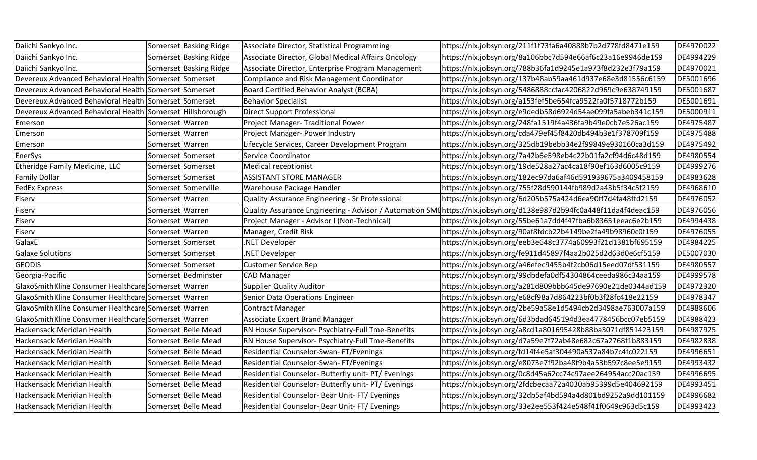| Daiichi Sankyo Inc.                                       |                   | Somerset Basking Ridge | Associate Director, Statistical Programming         | https://nlx.jobsyn.org/211f1f73fa6a40888b7b2d778fd8471e159                                                          | DE4970022 |
|-----------------------------------------------------------|-------------------|------------------------|-----------------------------------------------------|---------------------------------------------------------------------------------------------------------------------|-----------|
| Daiichi Sankyo Inc.                                       |                   | Somerset Basking Ridge | Associate Director, Global Medical Affairs Oncology | https://nlx.jobsyn.org/8a106bbc7d594e66af6c23a16e9946de159                                                          | DE4994229 |
| Daiichi Sankyo Inc.                                       |                   | Somerset Basking Ridge | Associate Director, Enterprise Program Management   | https://nlx.jobsyn.org/788b36fa1d9245e1a973f8d232e3f79a159                                                          | DE4970021 |
| Devereux Advanced Behavioral Health Somerset Somerset     |                   |                        | Compliance and Risk Management Coordinator          | https://nlx.jobsyn.org/137b48ab59aa461d937e68e3d81556c6159                                                          | DE5001696 |
| Devereux Advanced Behavioral Health Somerset Somerset     |                   |                        | <b>Board Certified Behavior Analyst (BCBA)</b>      | https://nlx.jobsyn.org/5486888ccfac4206822d969c9e638749159                                                          | DE5001687 |
| Devereux Advanced Behavioral Health Somerset Somerset     |                   |                        | <b>Behavior Specialist</b>                          | https://nlx.jobsyn.org/a153fef5be654fca9522fa0f5718772b159                                                          | DE5001691 |
| Devereux Advanced Behavioral Health Somerset Hillsborough |                   |                        | <b>Direct Support Professional</b>                  | https://nlx.jobsyn.org/e9dedb58d6924d54ae099fa5abeb341c159                                                          | DE5000911 |
| Emerson                                                   | Somerset   Warren |                        | Project Manager- Traditional Power                  | https://nlx.jobsyn.org/248fa1519f4a436fa9b49e0cb7e526ac159                                                          | DE4975487 |
| Emerson                                                   | Somerset Warren   |                        | Project Manager- Power Industry                     | https://nlx.jobsyn.org/cda479ef45f8420db494b3e1f378709f159                                                          | DE4975488 |
| Emerson                                                   | Somerset   Warren |                        | Lifecycle Services, Career Development Program      | https://nlx.jobsyn.org/325db19bebb34e2f99849e930160ca3d159                                                          | DE4975492 |
| EnerSys                                                   |                   | Somerset Somerset      | Service Coordinator                                 | https://nlx.jobsyn.org/7a42b6e598eb4c22b01fa2cf94d6c48d159                                                          | DE4980554 |
| Etheridge Family Medicine, LLC                            |                   | Somerset Somerset      | Medical receptionist                                | https://nlx.jobsyn.org/19de528a27ac4ca18f90ef163d6005c9159                                                          | DE4999276 |
| <b>Family Dollar</b>                                      |                   | Somerset Somerset      | <b>ASSISTANT STORE MANAGER</b>                      | https://nlx.jobsyn.org/182ec97da6af46d591939675a3409458159                                                          | DE4983628 |
| <b>FedEx Express</b>                                      |                   | Somerset Somerville    | Warehouse Package Handler                           | https://nlx.jobsyn.org/755f28d590144fb989d2a43b5f34c5f2159                                                          | DE4968610 |
| Fiserv                                                    | Somerset Warren   |                        | Quality Assurance Engineering - Sr Professional     | https://nlx.jobsyn.org/6d205b575a424d6ea90ff7d4fa48ffd2159                                                          | DE4976052 |
| Fiserv                                                    | Somerset Warren   |                        |                                                     | Quality Assurance Engineering - Advisor / Automation SME https://nlx.jobsyn.org/d138e987d2b94fc0a448f11da4f4deac159 | DE4976056 |
| Fiserv                                                    | Somerset Warren   |                        | Project Manager - Advisor I (Non-Technical)         | https://nlx.jobsyn.org/55be61a7dd4f47fba6b83651eeac6e2b159                                                          | DE4994438 |
| Fiserv                                                    | Somerset   Warren |                        | Manager, Credit Risk                                | https://nlx.jobsyn.org/90af8fdcb22b4149be2fa49b98960c0f159                                                          | DE4976055 |
| GalaxE                                                    |                   | Somerset Somerset      | .NET Developer                                      | https://nlx.jobsyn.org/eeb3e648c3774a60993f21d1381bf695159                                                          | DE4984225 |
| <b>Galaxe Solutions</b>                                   |                   | Somerset Somerset      | NET Developer                                       | https://nlx.jobsyn.org/fe911d45897f4aa2b025d2d63d0e6cf5159                                                          | DE5007030 |
| <b>GEODIS</b>                                             |                   | Somerset Somerset      | <b>Customer Service Rep</b>                         | https://nlx.jobsyn.org/a46efec9455b4f2cb06d15eed07df531159                                                          | DE4980557 |
| Georgia-Pacific                                           |                   | Somerset Bedminster    | <b>CAD Manager</b>                                  | https://nlx.jobsyn.org/99dbdefa0df54304864ceeda986c34aa159                                                          | DE4999578 |
| GlaxoSmithKline Consumer Healthcare Somerset Warren       |                   |                        | <b>Supplier Quality Auditor</b>                     | https://nlx.jobsyn.org/a281d809bbb645de97690e21de0344ad159                                                          | DE4972320 |
| GlaxoSmithKline Consumer Healthcare Somerset Warren       |                   |                        | Senior Data Operations Engineer                     | https://nlx.jobsyn.org/e68cf98a7d864223bf0b3f28fc418e22159                                                          | DE4978347 |
| GlaxoSmithKline Consumer Healthcare Somerset Warren       |                   |                        | Contract Manager                                    | https://nlx.jobsyn.org/2be59a58e1d5494cb2d3498ae763007a159                                                          | DE4988606 |
| GlaxoSmithKline Consumer Healthcare Somerset Warren       |                   |                        | <b>Associate Expert Brand Manager</b>               | https://nlx.jobsyn.org/6d3bdad645194d3ea4778456bcc07eb5159                                                          | DE4988423 |
| Hackensack Meridian Health                                |                   | Somerset Belle Mead    | RN House Supervisor- Psychiatry-Full Tme-Benefits   | https://nlx.jobsyn.org/a8cd1a801695428b88ba3071df851423159                                                          | DE4987925 |
| Hackensack Meridian Health                                |                   | Somerset Belle Mead    | RN House Supervisor- Psychiatry-Full Tme-Benefits   | https://nlx.jobsyn.org/d7a59e7f72ab48e682c67a2768f1b883159                                                          | DE4982838 |
| Hackensack Meridian Health                                |                   | Somerset Belle Mead    | Residential Counselor-Swan- FT/Evenings             | https://nlx.jobsyn.org/fd14f4e5af304490a537a84b7c4fc022159                                                          | DE4996651 |
| Hackensack Meridian Health                                |                   | Somerset Belle Mead    | Residential Counselor-Swan-FT/Evenings              | https://nlx.jobsyn.org/e8073e7f92ba48f9b4a53b597c8ee5e9159                                                          | DE4993432 |
| Hackensack Meridian Health                                |                   | Somerset Belle Mead    | Residential Counselor- Butterfly unit- PT/ Evenings | https://nlx.jobsyn.org/0c8d45a62cc74c97aee264954acc20ac159                                                          | DE4996695 |
| Hackensack Meridian Health                                |                   | Somerset Belle Mead    | Residential Counselor- Butterfly unit- PT/ Evenings | https://nlx.jobsyn.org/2fdcbecaa72a4030ab95399d5e404692159                                                          | DE4993451 |
| Hackensack Meridian Health                                |                   | Somerset Belle Mead    | Residential Counselor- Bear Unit-FT/Evenings        | https://nlx.jobsyn.org/32db5af4bd594a4d801bd9252a9dd101159                                                          | DE4996682 |
| Hackensack Meridian Health                                |                   | Somerset Belle Mead    | Residential Counselor- Bear Unit-FT/Evenings        | https://nlx.jobsyn.org/33e2ee553f424e548f41f0649c963d5c159                                                          | DE4993423 |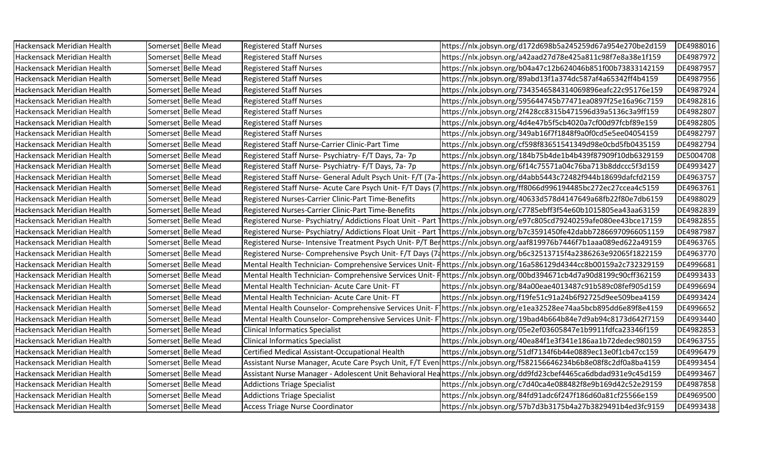| Hackensack Meridian Health | Somerset Belle Mead | <b>Registered Staff Nurses</b>                         | https://nlx.jobsyn.org/d172d698b5a245259d67a954e270be2d159                                                            | DE4988016 |
|----------------------------|---------------------|--------------------------------------------------------|-----------------------------------------------------------------------------------------------------------------------|-----------|
| Hackensack Meridian Health | Somerset Belle Mead | <b>Registered Staff Nurses</b>                         | https://nlx.jobsyn.org/a42aad27d78e425a811c98f7e8a38e1f159                                                            | DE4987972 |
| Hackensack Meridian Health | Somerset Belle Mead | <b>Registered Staff Nurses</b>                         | https://nlx.jobsyn.org/b04a47c12b624046b851f00b73833142159                                                            | DE4987957 |
| Hackensack Meridian Health | Somerset Belle Mead | <b>Registered Staff Nurses</b>                         | https://nlx.jobsyn.org/89abd13f1a374dc587af4a65342ff4b4159                                                            | DE4987956 |
| Hackensack Meridian Health | Somerset Belle Mead | <b>Registered Staff Nurses</b>                         | https://nlx.jobsyn.org/7343546584314069896eafc22c95176e159                                                            | DE4987924 |
| Hackensack Meridian Health | Somerset Belle Mead | <b>Registered Staff Nurses</b>                         | https://nlx.jobsyn.org/595644745b77471ea0897f25e16a96c7159                                                            | DE4982816 |
| Hackensack Meridian Health | Somerset Belle Mead | <b>Registered Staff Nurses</b>                         | https://nlx.jobsyn.org/2f428cc8315b471596d39a5136c3a9ff159                                                            | DE4982807 |
| Hackensack Meridian Health | Somerset Belle Mead | <b>Registered Staff Nurses</b>                         | https://nlx.jobsyn.org/4d4e47b5f5cb4020a7cf00d97fcbf89e159                                                            | DE4982805 |
| Hackensack Meridian Health | Somerset Belle Mead | <b>Registered Staff Nurses</b>                         | https://nlx.jobsyn.org/349ab16f7f1848f9a0f0cd5e5ee04054159                                                            | DE4982797 |
| Hackensack Meridian Health | Somerset Belle Mead | Registered Staff Nurse-Carrier Clinic-Part Time        | https://nlx.jobsyn.org/cf598f83651541349d98e0cbd5fb0435159                                                            | DE4982794 |
| Hackensack Meridian Health | Somerset Belle Mead | Registered Staff Nurse- Psychiatry- F/T Days, 7a-7p    | https://nlx.jobsyn.org/184b75b4de1b4b439f87909f10db6329159                                                            | DE5004708 |
| Hackensack Meridian Health | Somerset Belle Mead | Registered Staff Nurse- Psychiatry- F/T Days, 7a- 7p   | https://nlx.jobsyn.org/6f14c75571a04c76ba713b8ddccc5f3d159                                                            | DE4993427 |
| Hackensack Meridian Health | Somerset Belle Mead |                                                        | Registered Staff Nurse- General Adult Psych Unit- F/T (7a-1https://nlx.jobsyn.org/d4abb5443c72482f944b18699dafcfd2159 | DE4963757 |
| Hackensack Meridian Health | Somerset Belle Mead |                                                        | Registered Staff Nurse-Acute Care Psych Unit-F/T Days (7 https://nlx.jobsyn.org/ff8066d996194485bc272ec27ccea4c5159   | DE4963761 |
| Hackensack Meridian Health | Somerset Belle Mead | Registered Nurses-Carrier Clinic-Part Time-Benefits    | https://nlx.jobsyn.org/40633d578d4147649a68fb22f80e7db6159                                                            | DE4988029 |
| Hackensack Meridian Health | Somerset Belle Mead | Registered Nurses-Carrier Clinic-Part Time-Benefits    | https://nlx.jobsyn.org/c7785ebff3f54e60b1015805ea43aa63159                                                            | DE4982839 |
| Hackensack Meridian Health | Somerset Belle Mead |                                                        | Registered Nurse-Psychiatry/Addictions Float Unit - Part 1https://nlx.jobsyn.org/e97c805cd79240259afe080ee43bce17159  | DE4982855 |
| Hackensack Meridian Health | Somerset Belle Mead |                                                        | Registered Nurse-Psychiatry/Addictions Float Unit - Part 1https://nlx.jobsyn.org/b7c3591450fe42dabb72866970966051159  | DE4987987 |
| Hackensack Meridian Health | Somerset Belle Mead |                                                        | Registered Nurse- Intensive Treatment Psych Unit- P/T Berhttps://nlx.jobsyn.org/aaf819976b7446f7b1aaa089ed622a49159   | DE4963765 |
| Hackensack Meridian Health | Somerset Belle Mead |                                                        | Registered Nurse-Comprehensive Psych Unit-F/T Days (74 https://nlx.jobsyn.org/b6c32513715f4a2386263e92065f1822159     | DE4963770 |
| Hackensack Meridian Health | Somerset Belle Mead |                                                        | Mental Health Technician- Comprehensive Services Unit- Finttps://nlx.jobsyn.org/16a586129d4344cc8b00159a2c732329159   | DE4996681 |
| Hackensack Meridian Health | Somerset Belle Mead |                                                        | Mental Health Technician- Comprehensive Services Unit- Finttps://nlx.jobsyn.org/00bd394671cb4d7a90d8199c90cff362159   | DE4993433 |
| Hackensack Meridian Health | Somerset Belle Mead | Mental Health Technician- Acute Care Unit-FT           | https://nlx.jobsyn.org/84a00eae4013487c91b589c08fef905d159                                                            | DE4996694 |
| Hackensack Meridian Health | Somerset Belle Mead | Mental Health Technician- Acute Care Unit-FT           | https://nlx.jobsyn.org/f19fe51c91a24b6f92725d9ee509bea4159                                                            | DE4993424 |
| Hackensack Meridian Health | Somerset Belle Mead |                                                        | Mental Health Counselor-Comprehensive Services Unit-F1https://nlx.jobsyn.org/e1ea32528ee74aa5bcb895dd6e89f8e4159      | DE4996652 |
| Hackensack Meridian Health | Somerset Belle Mead | Mental Health Counselor- Comprehensive Services Unit-F | https://nlx.jobsyn.org/19bad4b664b84e7d9ab94c8173d642f7159                                                            | DE4993440 |
| Hackensack Meridian Health | Somerset Belle Mead | <b>Clinical Informatics Specialist</b>                 | https://nlx.jobsyn.org/05e2ef03605847e1b9911fdfca23346f159                                                            | DE4982853 |
| Hackensack Meridian Health | Somerset Belle Mead | <b>Clinical Informatics Specialist</b>                 | https://nlx.jobsyn.org/40ea84f1e3f341e186aa1b72dedec980159                                                            | DE4963755 |
| Hackensack Meridian Health | Somerset Belle Mead | Certified Medical Assistant-Occupational Health        | https://nlx.jobsyn.org/51df7134f6b44e0889ec13e0f1cb47cc159                                                            | DE4996479 |
| Hackensack Meridian Health | Somerset Belle Mead |                                                        | Assistant Nurse Manager, Acute Care Psych Unit, F/T Even https://nlx.jobsyn.org/f582156646234b6b8e08f8c2df0a8ba4159   | DE4993454 |
| Hackensack Meridian Health | Somerset Belle Mead |                                                        | Assistant Nurse Manager - Adolescent Unit Behavioral Heahttps://nlx.jobsyn.org/dd9fd23cbef4465ca6dbdad931e9c45d159    | DE4993467 |
| Hackensack Meridian Health | Somerset Belle Mead | <b>Addictions Triage Specialist</b>                    | https://nlx.jobsyn.org/c7d40ca4e088482f8e9b169d42c52e29159                                                            | DE4987858 |
| Hackensack Meridian Health | Somerset Belle Mead | <b>Addictions Triage Specialist</b>                    | https://nlx.jobsyn.org/84fd91adc6f247f186d60a81cf25566e159                                                            | DE4969500 |
| Hackensack Meridian Health | Somerset Belle Mead | <b>Access Triage Nurse Coordinator</b>                 | https://nlx.jobsyn.org/57b7d3b3175b4a27b3829491b4ed3fc9159                                                            | DE4993438 |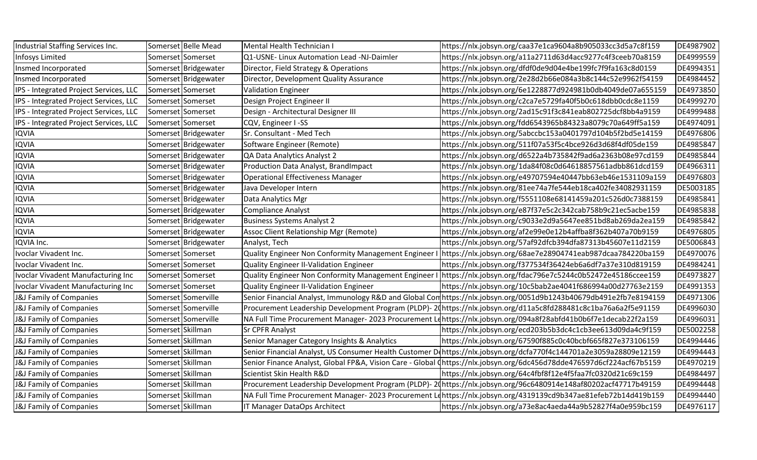| Industrial Staffing Services Inc.      |                   | Somerset Belle Mead  | Mental Health Technician I                            | https://nlx.jobsyn.org/caa37e1ca9604a8b905033cc3d5a7c8f159                                                            | DE4987902 |
|----------------------------------------|-------------------|----------------------|-------------------------------------------------------|-----------------------------------------------------------------------------------------------------------------------|-----------|
| <b>Infosys Limited</b>                 |                   | Somerset Somerset    | Q1-USNE- Linux Automation Lead -NJ-Daimler            | https://nlx.jobsyn.org/a11a2711d63d4acc9277c4f3ceeb70a8159                                                            | DE4999559 |
| Insmed Incorporated                    |                   | Somerset Bridgewater | Director, Field Strategy & Operations                 | https://nlx.jobsyn.org/dfdf0de9d04e4be199fc7f9fa163c8d0159                                                            | DE4994351 |
| Insmed Incorporated                    |                   | Somerset Bridgewater | Director, Development Quality Assurance               | https://nlx.jobsyn.org/2e28d2b66e084a3b8c144c52e9962f54159                                                            | DE4984452 |
| IPS - Integrated Project Services, LLC |                   | Somerset Somerset    | <b>Validation Engineer</b>                            | https://nlx.jobsyn.org/6e1228877d924981b0db4049de07a655159                                                            | DE4973850 |
| IPS - Integrated Project Services, LLC |                   | Somerset Somerset    | Design Project Engineer II                            | https://nlx.jobsyn.org/c2ca7e5729fa40f5b0c618dbb0cdc8e1159                                                            | DE4999270 |
| IPS - Integrated Project Services, LLC |                   | Somerset Somerset    | Design - Architectural Designer III                   | https://nlx.jobsyn.org/2ad15c91f3c841eab802725dcf8bb4a9159                                                            | DE4999488 |
| IPS - Integrated Project Services, LLC |                   | Somerset Somerset    | CQV, Engineer I-SS                                    | https://nlx.jobsyn.org/fdd6543965b84323a8079c70a649ff5a159                                                            | DE4974091 |
| <b>IQVIA</b>                           |                   | Somerset Bridgewater | Sr. Consultant - Med Tech                             | https://nlx.jobsyn.org/5abccbc153a0401797d104b5f2bd5e14159                                                            | DE4976806 |
| <b>IQVIA</b>                           |                   | Somerset Bridgewater | Software Engineer (Remote)                            | https://nlx.jobsyn.org/511f07a53f5c4bce926d3d68f4df05de159                                                            | DE4985847 |
| <b>IQVIA</b>                           |                   | Somerset Bridgewater | QA Data Analytics Analyst 2                           | https://nlx.jobsyn.org/d6522a4b735842f9ad6a2363b08e97cd159                                                            | DE4985844 |
| <b>IQVIA</b>                           |                   | Somerset Bridgewater | Production Data Analyst, BrandImpact                  | https://nlx.jobsyn.org/1da84f08c0d64618857561adbb861dcd159                                                            | DE4966311 |
| <b>IQVIA</b>                           |                   | Somerset Bridgewater | <b>Operational Effectiveness Manager</b>              | https://nlx.jobsyn.org/e49707594e40447bb63eb46e1531109a159                                                            | DE4976803 |
| <b>IQVIA</b>                           |                   | Somerset Bridgewater | Java Developer Intern                                 | https://nlx.jobsyn.org/81ee74a7fe544eb18ca402fe34082931159                                                            | DE5003185 |
| <b>IQVIA</b>                           |                   | Somerset Bridgewater | Data Analytics Mgr                                    | https://nlx.jobsyn.org/f5551108e68141459a201c526d0c7388159                                                            | DE4985841 |
| <b>IQVIA</b>                           |                   | Somerset Bridgewater | <b>Compliance Analyst</b>                             | https://nlx.jobsyn.org/e87f37e5c2c342cab758b9c21ec5acbe159                                                            | DE4985838 |
| <b>IQVIA</b>                           |                   | Somerset Bridgewater | <b>Business Systems Analyst 2</b>                     | https://nlx.jobsyn.org/c9033e2d9a5647ee851bd8ab269da2ea159                                                            | DE4985842 |
| <b>IQVIA</b>                           |                   | Somerset Bridgewater | Assoc Client Relationship Mgr (Remote)                | https://nlx.jobsyn.org/af2e99e0e12b4affba8f362b407a70b9159                                                            | DE4976805 |
| IQVIA Inc.                             |                   | Somerset Bridgewater | Analyst, Tech                                         | https://nlx.jobsyn.org/57af92dfcb394dfa87313b45607e11d2159                                                            | DE5006843 |
| Ivoclar Vivadent Inc.                  |                   | Somerset Somerset    |                                                       | Quality Engineer Non Conformity Management Engineer I   https://nlx.jobsyn.org/68ae7e28904741eab987dcaa784220ba159    | DE4970076 |
| Ivoclar Vivadent Inc.                  |                   | Somerset Somerset    | Quality Engineer II-Validation Engineer               | https://nlx.jobsyn.org/f377534f36424eb6a6df7a37e310d819159                                                            | DE4984241 |
| Ivoclar Vivadent Manufacturing Inc     |                   | Somerset Somerset    | Quality Engineer Non Conformity Management Engineer I | https://nlx.jobsyn.org/fdac796e7c5244c0b52472e45186ccee159                                                            | DE4973827 |
| Ivoclar Vivadent Manufacturing Inc     |                   | Somerset Somerset    | <b>Quality Engineer II-Validation Engineer</b>        | https://nlx.jobsyn.org/10c5bab2ae4041f686994a00d27763e2159                                                            | DE4991353 |
| J&J Family of Companies                |                   | Somerset Somerville  |                                                       | Senior Financial Analyst, Immunology R&D and Global Con https://nlx.jobsyn.org/0051d9b1243b40679db491e2fb7e8194159    | DE4971306 |
| J&J Family of Companies                |                   | Somerset Somerville  |                                                       | Procurement Leadership Development Program (PLDP)- 2(https://nlx.jobsyn.org/d11a5c8fd288481c8c1ba76a6a2f5e91159       | DE4996030 |
| J&J Family of Companies                |                   | Somerset Somerville  |                                                       | NA Full Time Procurement Manager- 2023 Procurement Lqhttps://nlx.jobsyn.org/094a8f28abfd41b0b6f7e1decab22f2a159       | DE4996031 |
| J&J Family of Companies                | Somerset Skillman |                      | <b>Sr CPFR Analyst</b>                                | https://nlx.jobsyn.org/ecd203b5b3dc4c1cb3ee613d09da4c9f159                                                            | DE5002258 |
| J&J Family of Companies                | Somerset Skillman |                      | Senior Manager Category Insights & Analytics          | https://nlx.jobsyn.org/67590f885c0c40bcbf665f827e373106159                                                            | DE4994446 |
| J&J Family of Companies                | Somerset Skillman |                      |                                                       | Senior Financial Analyst, US Consumer Health Customer Dehttps://nlx.jobsyn.org/dcfa770f4c144701a2e3059a28809e12159    | DE4994443 |
| J&J Family of Companies                | Somerset Skillman |                      |                                                       | Senior Finance Analyst, Global FP&A, Vision Care - Global (https://nlx.jobsyn.org/6dc456d78dde476597d6cf224acf67b5159 | DE4970219 |
| J&J Family of Companies                | Somerset Skillman |                      | Scientist Skin Health R&D                             | https://nlx.jobsyn.org/64c4fbf8f12e4f5faa7fc0320d21c69c159                                                            | DE4984497 |
| J&J Family of Companies                | Somerset Skillman |                      |                                                       | Procurement Leadership Development Program (PLDP)-20https://nlx.jobsyn.org/96c6480914e148af80202acf47717b49159        | DE4994448 |
| J&J Family of Companies                | Somerset Skillman |                      |                                                       | NA Full Time Procurement Manager-2023 Procurement Lehttps://nlx.jobsyn.org/4319139cd9b347ae81efeb72b14d419b159        | DE4994440 |
| J&J Family of Companies                | Somerset Skillman |                      | IT Manager DataOps Architect                          | https://nlx.jobsyn.org/a73e8ac4aeda44a9b52827f4a0e959bc159                                                            | DE4976117 |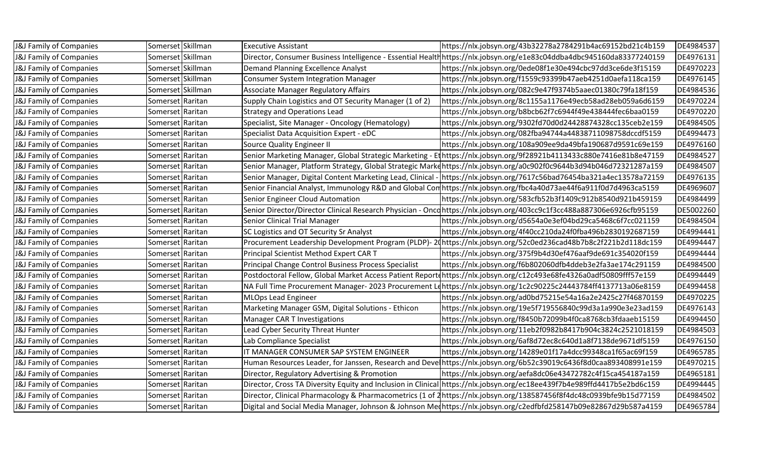| <b>J&amp;J Family of Companies</b> | Somerset Skillman | <b>Executive Assistant</b>                                  | https://nlx.jobsyn.org/43b32278a2784291b4ac69152bd21c4b159                                                               | DE4984537 |
|------------------------------------|-------------------|-------------------------------------------------------------|--------------------------------------------------------------------------------------------------------------------------|-----------|
| J&J Family of Companies            | Somerset Skillman |                                                             | Director, Consumer Business Intelligence - Essential Health https://nlx.jobsyn.org/e1e83c04ddba4dbc945160da83377240159   | DE4976131 |
| <b>J&amp;J Family of Companies</b> | Somerset Skillman | <b>Demand Planning Excellence Analyst</b>                   | https://nlx.jobsyn.org/0ede08f1e30e494cbc97dd3ce6de3f15159                                                               | DE4970223 |
| J&J Family of Companies            | Somerset Skillman | <b>Consumer System Integration Manager</b>                  | https://nlx.jobsyn.org/f1559c93399b47aeb4251d0aefa118ca159                                                               | DE4976145 |
| J&J Family of Companies            | Somerset Skillman | <b>Associate Manager Regulatory Affairs</b>                 | https://nlx.jobsyn.org/082c9e47f9374b5aaec01380c79fa18f159                                                               | DE4984536 |
| J&J Family of Companies            | Somerset Raritan  | Supply Chain Logistics and OT Security Manager (1 of 2)     | https://nlx.jobsyn.org/8c1155a1176e49ecb58ad28eb059a6d6159                                                               | DE4970224 |
| J&J Family of Companies            | Somerset Raritan  | <b>Strategy and Operations Lead</b>                         | https://nlx.jobsyn.org/b8bcb62f7c6944f49e438444fec6baa0159                                                               | DE4970220 |
| <b>J&amp;J Family of Companies</b> | Somerset Raritan  | Specialist, Site Manager - Oncology (Hematology)            | https://nlx.jobsyn.org/9302fd70d0d24428874328cc135ceb2e159                                                               | DE4984505 |
| <b>J&amp;J Family of Companies</b> | Somerset Raritan  | Specialist Data Acquisition Expert - eDC                    | https://nlx.jobsyn.org/082fba94744a44838711098758dccdf5159                                                               | DE4994473 |
| J&J Family of Companies            | Somerset Raritan  | <b>Source Quality Engineer II</b>                           | https://nlx.jobsyn.org/108a909ee9da49bfa190687d9591c69e159                                                               | DE4976160 |
| <b>J&amp;J Family of Companies</b> | Somerset Raritan  |                                                             | Senior Marketing Manager, Global Strategic Marketing - Et https://nlx.jobsyn.org/9f28921b4113433c880e7416e81b8e47159     | DE4984527 |
| J&J Family of Companies            | Somerset Raritan  |                                                             | Senior Manager, Platform Strategy, Global Strategic Markehttps://nlx.jobsyn.org/a0c902f0c9644b3d94b046d72321287a159      | DE4984507 |
| <b>J&amp;J Family of Companies</b> | Somerset Raritan  |                                                             | Senior Manager, Digital Content Marketing Lead, Clinical - https://nlx.jobsyn.org/7617c56bad76454ba321a4ec13578a72159    | DE4976135 |
| J&J Family of Companies            | Somerset Raritan  |                                                             | Senior Financial Analyst, Immunology R&D and Global Conthttps://nlx.jobsyn.org/fbc4a40d73ae44f6a911f0d7d4963ca5159       | DE4969607 |
| J&J Family of Companies            | Somerset Raritan  | Senior Engineer Cloud Automation                            | https://nlx.jobsyn.org/583cfb52b3f1409c912b8540d921b459159                                                               | DE4984499 |
| <b>J&amp;J Family of Companies</b> | Somerset Raritan  |                                                             | Senior Director/Director Clinical Research Physician - Oncd https://nlx.jobsyn.org/403cc9c1f3cc488a887306e6926cfb95159   | DE5002260 |
| J&J Family of Companies            | Somerset Raritan  | Senior Clinical Trial Manager                               | https://nlx.jobsyn.org/d5654a0e3ef04bd29ca5468c6f7cc021159                                                               | DE4984504 |
| <b>J&amp;J Family of Companies</b> | Somerset Raritan  | SC Logistics and OT Security Sr Analyst                     | https://nlx.jobsyn.org/4f40cc210da24f0fba496b2830192687159                                                               | DE4994441 |
| <b>J&amp;J Family of Companies</b> | Somerset Raritan  |                                                             | Procurement Leadership Development Program (PLDP)-20https://nlx.jobsyn.org/52c0ed236cad48b7b8c2f221b2d118dc159           | DE4994447 |
| <b>J&amp;J Family of Companies</b> | Somerset Raritan  | Principal Scientist Method Expert CAR T                     | https://nlx.jobsyn.org/375f9b4d30ef476aaf9de691c354020f159                                                               | DE4994444 |
| J&J Family of Companies            | Somerset Raritan  | <b>Principal Change Control Business Process Specialist</b> | https://nlx.jobsyn.org/f6b802060dfb4ddeb3e2fa3ae174c291159                                                               | DE4984500 |
| J&J Family of Companies            | Somerset Raritan  |                                                             | Postdoctoral Fellow, Global Market Access Patient Reportdhttps://nlx.jobsyn.org/c12c493e68fe4326a0adf50809fff57e159      | DE4994449 |
| <b>J&amp;J Family of Companies</b> | Somerset Raritan  |                                                             | NA Full Time Procurement Manager-2023 Procurement Lehttps://nlx.jobsyn.org/1c2c90225c24443784ff4137713a06e8159           | DE4994458 |
| <b>J&amp;J Family of Companies</b> | Somerset Raritan  | <b>MLOps Lead Engineer</b>                                  | https://nlx.jobsyn.org/ad0bd75215e54a16a2e2425c27f46870159                                                               | DE4970225 |
| J&J Family of Companies            | Somerset Raritan  | Marketing Manager GSM, Digital Solutions - Ethicon          | https://nlx.jobsyn.org/19e5f719556840c99d3a1a990e3e23ad159                                                               | DE4976143 |
| <b>J&amp;J Family of Companies</b> | Somerset Raritan  | <b>Manager CAR T Investigations</b>                         | https://nlx.jobsyn.org/f8450b72099b4f0ca8768cb3fdaaeb15159                                                               | DE4994450 |
| J&J Family of Companies            | Somerset Raritan  | Lead Cyber Security Threat Hunter                           | https://nlx.jobsyn.org/11eb2f0982b8417b904c3824c2521018159                                                               | DE4984503 |
| <b>J&amp;J Family of Companies</b> | Somerset Raritan  | Lab Compliance Specialist                                   | https://nlx.jobsyn.org/6af8d72ec8c640d1a8f7138de9671df5159                                                               | DE4976150 |
| <b>J&amp;J Family of Companies</b> | Somerset Raritan  | IT MANAGER CONSUMER SAP SYSTEM ENGINEER                     | https://nlx.jobsyn.org/14289e01f17a4dcc99348ca1f65ac69f159                                                               | DE4965785 |
| <b>J&amp;J Family of Companies</b> | Somerset Raritan  |                                                             | Human Resources Leader, for Janssen, Research and Develhttps://nlx.jobsyn.org/6b52c39019c6436f8d0caa893408991e159        | DE4970215 |
| <b>J&amp;J Family of Companies</b> | Somerset Raritan  | Director, Regulatory Advertising & Promotion                | https://nlx.jobsyn.org/aefa8dc06e43472782c4f15ca454187a159                                                               | DE4965181 |
| J&J Family of Companies            | Somerset Raritan  |                                                             | Director, Cross TA Diversity Equity and Inclusion in Clinical https://nlx.jobsyn.org/ec18ee439f7b4e989ffd4417b5e2bd6c159 | DE4994445 |
| <b>J&amp;J Family of Companies</b> | Somerset Raritan  |                                                             | Director, Clinical Pharmacology & Pharmacometrics (1 of 2https://nlx.jobsyn.org/138587456f8f4dc48c0939bfe9b15d77159      | DE4984502 |
| <b>J&amp;J Family of Companies</b> | Somerset Raritan  |                                                             | Digital and Social Media Manager, Johnson & Johnson Mechttps://nlx.jobsyn.org/c2edfbfd258147b09e82867d29b587a4159        | DE4965784 |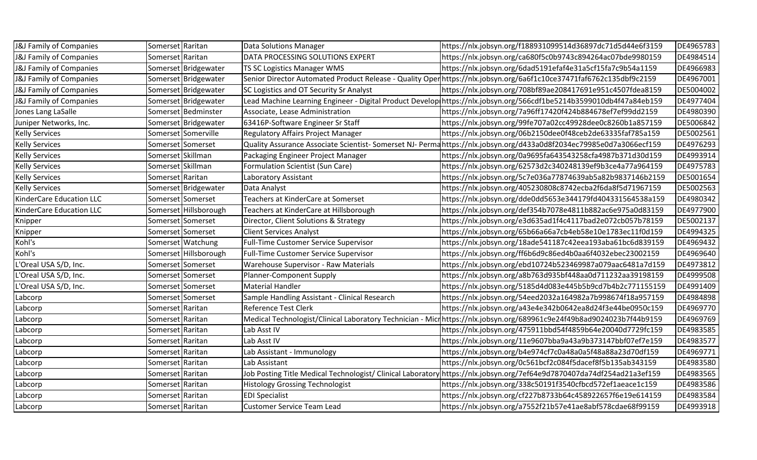| J&J Family of Companies            | Somerset Raritan  |                       | Data Solutions Manager                        | https://nlx.jobsyn.org/f188931099514d36897dc71d5d44e6f3159                                                             | DE4965783 |
|------------------------------------|-------------------|-----------------------|-----------------------------------------------|------------------------------------------------------------------------------------------------------------------------|-----------|
| <b>J&amp;J Family of Companies</b> | Somerset Raritan  |                       | DATA PROCESSING SOLUTIONS EXPERT              | https://nlx.jobsyn.org/ca680f5c0b9743c894264ac07bde9980159                                                             | DE4984514 |
| <b>J&amp;J Family of Companies</b> |                   | Somerset Bridgewater  | <b>TS SC Logistics Manager WMS</b>            | https://nlx.jobsyn.org/6dad5191efaf4e31a5cf15fa7c9b54a1159                                                             | DE4966983 |
| <b>J&amp;J Family of Companies</b> |                   | Somerset Bridgewater  |                                               | Senior Director Automated Product Release - Quality Oper https://nlx.jobsyn.org/6a6f1c10ce37471faf6762c135dbf9c2159    | DE4967001 |
| <b>J&amp;J Family of Companies</b> |                   | Somerset Bridgewater  | SC Logistics and OT Security Sr Analyst       | https://nlx.jobsyn.org/708bf89ae208417691e951c4507fdea8159                                                             | DE5004002 |
| <b>J&amp;J Family of Companies</b> |                   | Somerset Bridgewater  |                                               | Lead Machine Learning Engineer - Digital Product Develop https://nlx.jobsyn.org/566cdf1be5214b3599010db4f47a84eb159    | DE4977404 |
| Jones Lang LaSalle                 |                   | Somerset Bedminster   | Associate, Lease Administration               | https://nlx.jobsyn.org/7a96ff17420f424b884678ef7ef99dd2159                                                             | DE4980390 |
| Juniper Networks, Inc.             |                   | Somerset Bridgewater  | 63416P-Software Engineer Sr Staff             | https://nlx.jobsyn.org/99fe707a02cc49928dee0c8260b1a857159                                                             | DE5006842 |
| <b>Kelly Services</b>              |                   | Somerset Somerville   | Regulatory Affairs Project Manager            | https://nlx.jobsyn.org/06b2150dee0f48ceb2de63335faf785a159                                                             | DE5002561 |
| <b>Kelly Services</b>              |                   | Somerset Somerset     |                                               | Quality Assurance Associate Scientist-Somerset NJ-Permahttps://nlx.jobsyn.org/d433a0d8f2034ec79985e0d7a3066ecf159      | DE4976293 |
| <b>Kelly Services</b>              | Somerset Skillman |                       | Packaging Engineer Project Manager            | https://nlx.jobsyn.org/0a9695fa643543258cfa4987b371d30d159                                                             | DE4993914 |
| <b>Kelly Services</b>              | Somerset Skillman |                       | Formulation Scientist (Sun Care)              | https://nlx.jobsyn.org/62573d2c340248139ef9b3ce4a77a964159                                                             | DE4975783 |
| <b>Kelly Services</b>              | Somerset Raritan  |                       | Laboratory Assistant                          | https://nlx.jobsyn.org/5c7e036a77874639ab5a82b9837146b2159                                                             | DE5001654 |
| <b>Kelly Services</b>              |                   | Somerset Bridgewater  | Data Analyst                                  | https://nlx.jobsyn.org/405230808c8742ecba2f6da8f5d71967159                                                             | DE5002563 |
| KinderCare Education LLC           |                   | Somerset Somerset     | Teachers at KinderCare at Somerset            | https://nlx.jobsyn.org/dde0dd5653e344179fd404331564538a159                                                             | DE4980342 |
| KinderCare Education LLC           |                   | Somerset Hillsborough | Teachers at KinderCare at Hillsborough        | https://nlx.jobsyn.org/def354b7078e4811b882ac6e975a0d83159                                                             | DE4977900 |
| Knipper                            |                   | Somerset Somerset     | Director, Client Solutions & Strategy         | https://nlx.jobsyn.org/e3d635ad1f4c4117bad2e072cb057b78159                                                             | DE5002137 |
| Knipper                            |                   | Somerset Somerset     | <b>Client Services Analyst</b>                | https://nlx.jobsyn.org/65b66a66a7cb4eb58e10e1783ec11f0d159                                                             | DE4994325 |
| Kohl's                             |                   | Somerset Watchung     | Full-Time Customer Service Supervisor         | https://nlx.jobsyn.org/18ade541187c42eea193aba61bc6d839159                                                             | DE4969432 |
| Kohl's                             |                   | Somerset Hillsborough | <b>Full-Time Customer Service Supervisor</b>  | https://nlx.jobsyn.org/ff6b6d9c86ed4b0aa6f4032ebec23002159                                                             | DE4969640 |
| L'Oreal USA S/D, Inc.              |                   | Somerset Somerset     | <b>Warehouse Supervisor - Raw Materials</b>   | https://nlx.jobsyn.org/ebd10724b523469987a079aac6481a7d159                                                             | DE4973812 |
| L'Oreal USA S/D, Inc.              |                   | Somerset Somerset     | Planner-Component Supply                      | https://nlx.jobsyn.org/a8b763d935bf448aa0d711232aa39198159                                                             | DE4999508 |
| L'Oreal USA S/D, Inc.              |                   | Somerset Somerset     | Material Handler                              | https://nlx.jobsyn.org/5185d4d083e445b5b9cd7b4b2c771155159                                                             | DE4991409 |
| Labcorp                            |                   | Somerset Somerset     | Sample Handling Assistant - Clinical Research | https://nlx.jobsyn.org/54eed2032a164982a7b998674f18a957159                                                             | DE4984898 |
| Labcorp                            | Somerset Raritan  |                       | <b>Reference Test Clerk</b>                   | https://nlx.jobsyn.org/a43e4e342b0642ea8d24f3e44be0950c159                                                             | DE4969770 |
| Labcorp                            | Somerset Raritan  |                       |                                               | Medical Technologist/Clinical Laboratory Technician - Micr https://nlx.jobsyn.org/689961c9e24f49b8ad9024023b7f44b9159  | DE4969769 |
| Labcorp                            | Somerset Raritan  |                       | Lab Asst IV                                   | https://nlx.jobsyn.org/475911bbd54f4859b64e20040d7729fc159                                                             | DE4983585 |
| Labcorp                            | Somerset Raritan  |                       | Lab Asst IV                                   | https://nlx.jobsyn.org/11e9607bba9a43a9b373147bbf07ef7e159                                                             | DE4983577 |
| Labcorp                            | Somerset Raritan  |                       | Lab Assistant - Immunology                    | https://nlx.jobsyn.org/b4e974cf7c0a48a0a5f48a88a23d70df159                                                             | DE4969771 |
| Labcorp                            | Somerset Raritan  |                       | Lab Assistant                                 | https://nlx.jobsyn.org/0c561bcf2c084f5dacef8f5b135ab343159                                                             | DE4983580 |
| Labcorp                            | Somerset Raritan  |                       |                                               | Job Posting Title Medical Technologist/ Clinical Laboratory https://nlx.jobsyn.org/7ef64e9d7870407da74df254ad21a3ef159 | DE4983565 |
| Labcorp                            | Somerset Raritan  |                       | <b>Histology Grossing Technologist</b>        | https://nlx.jobsyn.org/338c50191f3540cfbcd572ef1aeace1c159                                                             | DE4983586 |
| Labcorp                            | Somerset Raritan  |                       | <b>EDI Specialist</b>                         | https://nlx.jobsyn.org/cf227b8733b64c458922657f6e19e614159                                                             | DE4983584 |
| Labcorp                            | Somerset Raritan  |                       | <b>Customer Service Team Lead</b>             | https://nlx.jobsyn.org/a7552f21b57e41ae8abf578cdae68f99159                                                             | DE4993918 |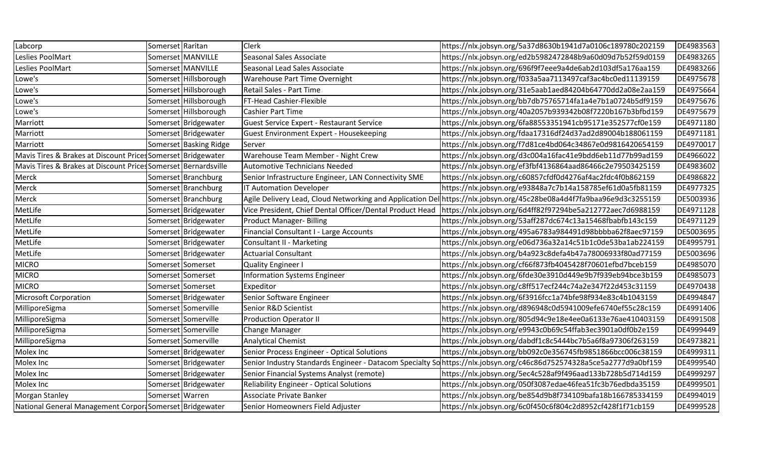| Labcorp                                                        | Somerset Raritan |                        | <b>Clerk</b>                                              | https://nlx.jobsyn.org/5a37d8630b1941d7a0106c189780c202159                                                           | DE4983563 |
|----------------------------------------------------------------|------------------|------------------------|-----------------------------------------------------------|----------------------------------------------------------------------------------------------------------------------|-----------|
| Leslies PoolMart                                               |                  | Somerset MANVILLE      | Seasonal Sales Associate                                  | https://nlx.jobsyn.org/ed2b5982472848b9a60d09d7b52f59d0159                                                           | DE4983265 |
| Leslies PoolMart                                               |                  | Somerset MANVILLE      | Seasonal Lead Sales Associate                             | https://nlx.jobsyn.org/696f9f7eee9a4de6ab2d103df5a176aa159                                                           | DE4983266 |
| Lowe's                                                         |                  | Somerset Hillsborough  | Warehouse Part Time Overnight                             | https://nlx.jobsyn.org/f033a5aa7113497caf3ac4bc0ed11139159                                                           | DE4975678 |
| Lowe's                                                         |                  | Somerset Hillsborough  | Retail Sales - Part Time                                  | https://nlx.jobsyn.org/31e5aab1aed84204b64770dd2a08e2aa159                                                           | DE4975664 |
| Lowe's                                                         |                  | Somerset Hillsborough  | FT-Head Cashier-Flexible                                  | https://nlx.jobsyn.org/bb7db75765714fa1a4e7b1a0724b5df9159                                                           | DE4975676 |
| Lowe's                                                         |                  | Somerset Hillsborough  | <b>Cashier Part Time</b>                                  | https://nlx.jobsyn.org/40a2057b939342b08f7220b167b3bfbd159                                                           | DE4975679 |
| Marriott                                                       |                  | Somerset Bridgewater   | <b>Guest Service Expert - Restaurant Service</b>          | https://nlx.jobsyn.org/6fa88553351941cb95171e352577cf0e159                                                           | DE4971180 |
| Marriott                                                       |                  | Somerset Bridgewater   | <b>Guest Environment Expert - Housekeeping</b>            | https://nlx.jobsyn.org/fdaa17316df24d37ad2d89004b188061159                                                           | DE4971181 |
| Marriott                                                       |                  | Somerset Basking Ridge | Server                                                    | https://nlx.jobsyn.org/f7d81ce4bd064c34867e0d9816420654159                                                           | DE4970017 |
| Mavis Tires & Brakes at Discount Prices Somerset Bridgewater   |                  |                        | Warehouse Team Member - Night Crew                        | https://nlx.jobsyn.org/d3c004a16fac41e9bdd6eb11d77b99ad159                                                           | DE4966022 |
| Mavis Tires & Brakes at Discount Prices Somerset Bernardsville |                  |                        | <b>Automotive Technicians Needed</b>                      | https://nlx.jobsyn.org/ef3fbf4136864aad86466c2e79503425159                                                           | DE4983602 |
| Merck                                                          |                  | Somerset Branchburg    | Senior Infrastructure Engineer, LAN Connectivity SME      | https://nlx.jobsyn.org/c60857cfdf0d4276af4ac2fdc4f0b862159                                                           | DE4986822 |
| Merck                                                          |                  | Somerset Branchburg    | IT Automation Developer                                   | https://nlx.jobsyn.org/e93848a7c7b14a158785ef61d0a5fb81159                                                           | DE4977325 |
| Merck                                                          |                  | Somerset Branchburg    | Agile Delivery Lead, Cloud Networking and Application Del | https://nlx.jobsyn.org/45c28be08a4d4f7fa9baa96e9d3c3255159                                                           | DE5003936 |
| MetLife                                                        |                  | Somerset Bridgewater   | Vice President, Chief Dental Officer/Dental Product Head  | https://nlx.jobsyn.org/6d4ff82f97294be5a212772aec7d6988159                                                           | DE4971128 |
| MetLife                                                        |                  | Somerset Bridgewater   | <b>Product Manager- Billing</b>                           | https://nlx.jobsyn.org/53aff287dc674c13a15468fbabfb143c159                                                           | DE4971129 |
| MetLife                                                        |                  | Somerset Bridgewater   | Financial Consultant I - Large Accounts                   | https://nlx.jobsyn.org/495a6783a984491d98bbbba62f8aec97159                                                           | DE5003695 |
| MetLife                                                        |                  | Somerset Bridgewater   | <b>Consultant II - Marketing</b>                          | https://nlx.jobsyn.org/e06d736a32a14c51b1c0de53ba1ab224159                                                           | DE4995791 |
| MetLife                                                        |                  | Somerset Bridgewater   | <b>Actuarial Consultant</b>                               | https://nlx.jobsyn.org/b4a923c8defa4b47a78006933f80ad77159                                                           | DE5003696 |
| <b>MICRO</b>                                                   |                  | Somerset Somerset      | Quality Engineer I                                        | https://nlx.jobsyn.org/cf66f873fb4045428f70601efbd7bceb159                                                           | DE4985070 |
| <b>MICRO</b>                                                   |                  | Somerset Somerset      | <b>Information Systems Engineer</b>                       | https://nlx.jobsyn.org/6fde30e3910d449e9b7f939eb94bce3b159                                                           | DE4985073 |
| <b>MICRO</b>                                                   |                  | Somerset Somerset      | Expeditor                                                 | https://nlx.jobsyn.org/c8ff517ecf244c74a2e347f22d453c31159                                                           | DE4970438 |
| <b>Microsoft Corporation</b>                                   |                  | Somerset Bridgewater   | Senior Software Engineer                                  | https://nlx.jobsyn.org/6f3916fcc1a74bfe98f934e83c4b1043159                                                           | DE4994847 |
| MilliporeSigma                                                 |                  | Somerset Somerville    | Senior R&D Scientist                                      | https://nlx.jobsyn.org/d896948c0d5941009efe6740ef55c28c159                                                           | DE4991406 |
| MilliporeSigma                                                 |                  | Somerset Somerville    | <b>Production Operator II</b>                             | https://nlx.jobsyn.org/805d94c9e18e4ee0a6133e76ae410403159                                                           | DE4991508 |
| MilliporeSigma                                                 |                  | Somerset Somerville    | Change Manager                                            | https://nlx.jobsyn.org/e9943c0b69c54ffab3ec3901a0df0b2e159                                                           | DE4999449 |
| MilliporeSigma                                                 |                  | Somerset Somerville    | <b>Analytical Chemist</b>                                 | https://nlx.jobsyn.org/dabdf1c8c5444bc7b5a6f8a97306f263159                                                           | DE4973821 |
| Molex Inc                                                      |                  | Somerset Bridgewater   | Senior Process Engineer - Optical Solutions               | https://nlx.jobsyn.org/bb092c0e356745fb9851866bcc006c38159                                                           | DE4999311 |
| Molex Inc                                                      |                  | Somerset Bridgewater   |                                                           | Senior Industry Standards Engineer - Datacom Specialty Solhttps://nlx.jobsyn.org/c46c86d752574328a5ce5a2777d9a0bf159 | DE4999540 |
| Molex Inc                                                      |                  | Somerset Bridgewater   | Senior Financial Systems Analyst (remote)                 | https://nlx.jobsyn.org/5ec4c528af9f496aad133b728b5d714d159                                                           | DE4999297 |
| Molex Inc                                                      |                  | Somerset Bridgewater   | <b>Reliability Engineer - Optical Solutions</b>           | https://nlx.jobsyn.org/050f3087edae46fea51fc3b76edbda35159                                                           | DE4999501 |
| Morgan Stanley                                                 | Somerset Warren  |                        | Associate Private Banker                                  | https://nlx.jobsyn.org/be854d9b8f734109bafa18b166785334159                                                           | DE4994019 |
| National General Management CorportSomerset Bridgewater        |                  |                        | Senior Homeowners Field Adjuster                          | https://nlx.jobsyn.org/6c0f450c6f804c2d8952cf428f1f71cb159                                                           | DE4999528 |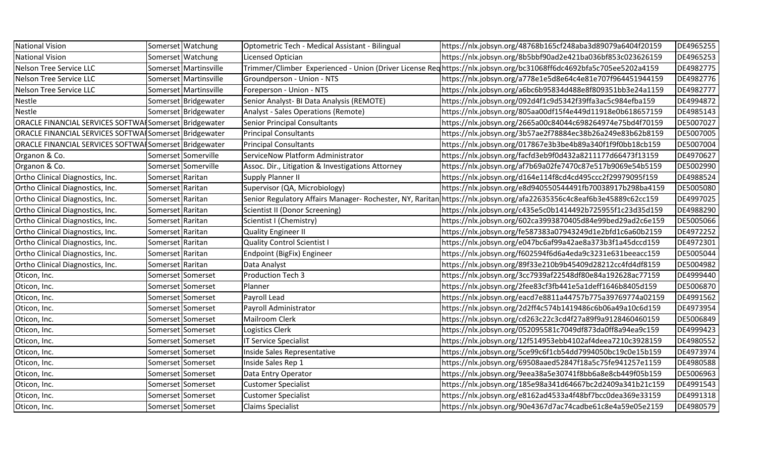| <b>National Vision</b>                                |                  | Somerset Watchung     | Optometric Tech - Medical Assistant - Bilingual   | https://nlx.jobsyn.org/48768b165cf248aba3d89079a6404f20159                                                           | DE4965255 |
|-------------------------------------------------------|------------------|-----------------------|---------------------------------------------------|----------------------------------------------------------------------------------------------------------------------|-----------|
| <b>National Vision</b>                                |                  | Somerset Watchung     | Licensed Optician                                 | https://nlx.jobsyn.org/8b5bbf90ad2e421ba036bf853c023626159                                                           | DE4965253 |
| Nelson Tree Service LLC                               |                  | Somerset Martinsville |                                                   | Trimmer/Climber Experienced - Union (Driver License Reqhttps://nlx.jobsyn.org/bc31068ff6dc4692bfa5c705ee5202a4159    | DE4982775 |
| Nelson Tree Service LLC                               |                  | Somerset Martinsville | Groundperson - Union - NTS                        | https://nlx.jobsyn.org/a778e1e5d8e64c4e81e707f964451944159                                                           | DE4982776 |
| Nelson Tree Service LLC                               |                  | Somerset Martinsville | Foreperson - Union - NTS                          | https://nlx.jobsyn.org/a6bc6b95834d488e8f809351bb3e24a1159                                                           | DE4982777 |
| Nestle                                                |                  | Somerset Bridgewater  | Senior Analyst- BI Data Analysis (REMOTE)         | https://nlx.jobsyn.org/092d4f1c9d5342f39ffa3ac5c984efba159                                                           | DE4994872 |
| Nestle                                                |                  | Somerset Bridgewater  | Analyst - Sales Operations (Remote)               | https://nlx.jobsyn.org/805aa00df15f4e449d11918e0b618657159                                                           | DE4985143 |
| ORACLE FINANCIAL SERVICES SOFTWAISomerset Bridgewater |                  |                       | <b>Senior Principal Consultants</b>               | https://nlx.jobsyn.org/2665a00c84044c698264974e75bd4f70159                                                           | DE5007027 |
| ORACLE FINANCIAL SERVICES SOFTWAISomerset Bridgewater |                  |                       | <b>Principal Consultants</b>                      | https://nlx.jobsyn.org/3b57ae2f78884ec38b26a249e83b62b8159                                                           | DE5007005 |
| ORACLE FINANCIAL SERVICES SOFTWAISomerset Bridgewater |                  |                       | <b>Principal Consultants</b>                      | https://nlx.jobsyn.org/017867e3b3be4b89a340f1f9f0bb18cb159                                                           | DE5007004 |
| Organon & Co.                                         |                  | Somerset Somerville   | ServiceNow Platform Administrator                 | https://nlx.jobsyn.org/facfd3eb9f0d432a8211177d66473f13159                                                           | DE4970627 |
| Organon & Co.                                         |                  | Somerset Somerville   | Assoc. Dir., Litigation & Investigations Attorney | https://nlx.jobsyn.org/af7b69a02fe7470c87e517b9069e54b5159                                                           | DE5002990 |
| Ortho Clinical Diagnostics, Inc.                      | Somerset Raritan |                       | Supply Planner II                                 | https://nlx.jobsyn.org/d164e114f8cd4cd495ccc2f29979095f159                                                           | DE4988524 |
| Ortho Clinical Diagnostics, Inc.                      | Somerset Raritan |                       | Supervisor (QA, Microbiology)                     | https://nlx.jobsyn.org/e8d940550544491fb70038917b298ba4159                                                           | DE5005080 |
| Ortho Clinical Diagnostics, Inc.                      | Somerset Raritan |                       |                                                   | Senior Regulatory Affairs Manager- Rochester, NY, Raritan https://nlx.jobsyn.org/afa22635356c4c8eaf6b3e45889c62cc159 | DE4997025 |
| Ortho Clinical Diagnostics, Inc.                      | Somerset Raritan |                       | Scientist II (Donor Screening)                    | https://nlx.jobsyn.org/c435e5c0b1414492b725955f1c23d35d159                                                           | DE4988290 |
| Ortho Clinical Diagnostics, Inc.                      | Somerset Raritan |                       | Scientist I (Chemistry)                           | https://nlx.jobsyn.org/602ca3993870405d84e99bed29ad2c6e159                                                           | DE5005066 |
| Ortho Clinical Diagnostics, Inc.                      | Somerset Raritan |                       | <b>Quality Engineer II</b>                        | https://nlx.jobsyn.org/fe587383a07943249d1e2bfd1c6a60b2159                                                           | DE4972252 |
| Ortho Clinical Diagnostics, Inc.                      | Somerset Raritan |                       | <b>Quality Control Scientist I</b>                | https://nlx.jobsyn.org/e047bc6af99a42ae8a373b3f1a45dccd159                                                           | DE4972301 |
| Ortho Clinical Diagnostics, Inc.                      | Somerset Raritan |                       | Endpoint (BigFix) Engineer                        | https://nlx.jobsyn.org/f602594f6d6a4eda9c3231e631beeacc159                                                           | DE5005044 |
| Ortho Clinical Diagnostics, Inc.                      | Somerset Raritan |                       | Data Analyst                                      | https://nlx.jobsyn.org/89f33e210b9b45409d28212cc4fd4df8159                                                           | DE5004982 |
| Oticon, Inc.                                          |                  | Somerset Somerset     | <b>Production Tech 3</b>                          | https://nlx.jobsyn.org/3cc7939af22548df80e84a192628ac77159                                                           | DE4999440 |
| Oticon, Inc.                                          |                  | Somerset Somerset     | Planner                                           | https://nlx.jobsyn.org/2fee83cf3fb441e5a1deff1646b8405d159                                                           | DE5006870 |
| Oticon, Inc.                                          |                  | Somerset Somerset     | Payroll Lead                                      | https://nlx.jobsyn.org/eacd7e8811a44757b775a39769774a02159                                                           | DE4991562 |
| Oticon, Inc.                                          |                  | Somerset Somerset     | Payroll Administrator                             | https://nlx.jobsyn.org/2d2ff4c574b1419486c6b06a49a10c6d159                                                           | DE4973954 |
| Oticon, Inc.                                          |                  | Somerset Somerset     | <b>Mailroom Clerk</b>                             | https://nlx.jobsyn.org/cd263c22c3cd4f27a89f9a9128460460159                                                           | DE5006849 |
| Oticon, Inc.                                          |                  | Somerset Somerset     | Logistics Clerk                                   | https://nlx.jobsyn.org/052095581c7049df873da0ff8a94ea9c159                                                           | DE4999423 |
| Oticon, Inc.                                          |                  | Somerset Somerset     | <b>IT Service Specialist</b>                      | https://nlx.jobsyn.org/12f514953ebb4102af4deea7210c3928159                                                           | DE4980552 |
| Oticon, Inc.                                          |                  | Somerset Somerset     | Inside Sales Representative                       | https://nlx.jobsyn.org/5ce99c6f1cb54dd7994050bc19c0e15b159                                                           | DE4973974 |
| Oticon, Inc.                                          |                  | Somerset Somerset     | Inside Sales Rep 1                                | https://nlx.jobsyn.org/69508aaed52847f18a5c75fe941257e1159                                                           | DE4980588 |
| Oticon, Inc.                                          |                  | Somerset Somerset     | Data Entry Operator                               | https://nlx.jobsyn.org/9eea38a5e30741f8bb6a8e8cb449f05b159                                                           | DE5006963 |
| Oticon, Inc.                                          |                  | Somerset Somerset     | <b>Customer Specialist</b>                        | https://nlx.jobsyn.org/185e98a341d64667bc2d2409a341b21c159                                                           | DE4991543 |
| Oticon, Inc.                                          |                  | Somerset Somerset     | <b>Customer Specialist</b>                        | https://nlx.jobsyn.org/e8162ad4533a4f48bf7bcc0dea369e33159                                                           | DE4991318 |
| Oticon, Inc.                                          |                  | Somerset Somerset     | <b>Claims Specialist</b>                          | https://nlx.jobsyn.org/90e4367d7ac74cadbe61c8e4a59e05e2159                                                           | DE4980579 |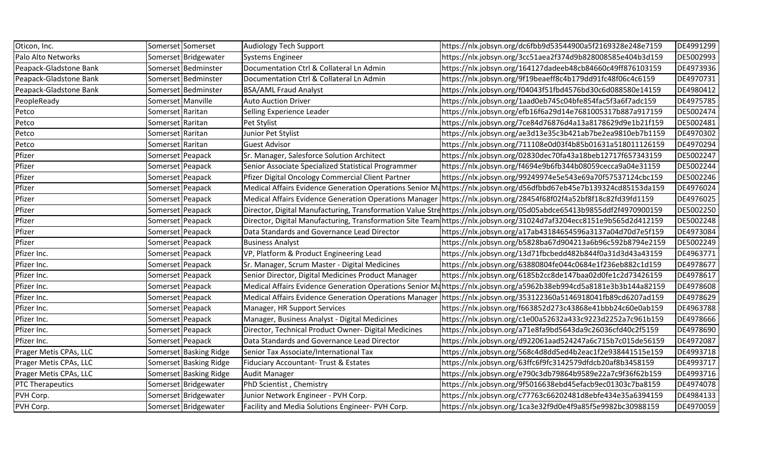| Oticon, Inc.            |                     | Somerset Somerset      | <b>Audiology Tech Support</b>                        | https://nlx.jobsyn.org/dc6fbb9d53544900a5f2169328e248e7159                                                           | DE4991299 |
|-------------------------|---------------------|------------------------|------------------------------------------------------|----------------------------------------------------------------------------------------------------------------------|-----------|
| Palo Alto Networks      |                     | Somerset Bridgewater   | <b>Systems Engineer</b>                              | https://nlx.jobsyn.org/3cc51aea2f374d9b828008585e404b3d159                                                           | DE5002993 |
| Peapack-Gladstone Bank  |                     | Somerset Bedminster    | Documentation Ctrl & Collateral Ln Admin             | https://nlx.jobsyn.org/164127dadeeb48cb84660c49ff876103159                                                           | DE4973936 |
| Peapack-Gladstone Bank  |                     | Somerset Bedminster    | Documentation Ctrl & Collateral Ln Admin             | https://nlx.jobsyn.org/9f19beaeff8c4b179dd91fc48f06c4c6159                                                           | DE4970731 |
| Peapack-Gladstone Bank  |                     | Somerset Bedminster    | <b>BSA/AML Fraud Analyst</b>                         | https://nlx.jobsyn.org/f04043f51fbd4576bd30c6d088580e14159                                                           | DE4980412 |
| PeopleReady             | Somerset   Manville |                        | <b>Auto Auction Driver</b>                           | https://nlx.jobsyn.org/1aad0eb745c04bfe854fac5f3a6f7adc159                                                           | DE4975785 |
| Petco                   | Somerset Raritan    |                        | Selling Experience Leader                            | https://nlx.jobsyn.org/efb16f6a29d14e7681005317b887a917159                                                           | DE5002474 |
| Petco                   | Somerset Raritan    |                        | Pet Stylist                                          | https://nlx.jobsyn.org/7ce84d76876d4a13a8178629d9e1b21f159                                                           | DE5002481 |
| Petco                   | Somerset Raritan    |                        | Junior Pet Stylist                                   | https://nlx.jobsyn.org/ae3d13e35c3b421ab7be2ea9810eb7b1159                                                           | DE4970302 |
| Petco                   | Somerset Raritan    |                        | <b>Guest Advisor</b>                                 | https://nlx.jobsyn.org/711108e0d03f4b85b01631a518011126159                                                           | DE4970294 |
| Pfizer                  | Somerset Peapack    |                        | Sr. Manager, Salesforce Solution Architect           | https://nlx.jobsyn.org/02830dec70fa43a18beb12717f657343159                                                           | DE5002247 |
| Pfizer                  | Somerset Peapack    |                        | Senior Associate Specialized Statistical Programmer  | https://nlx.jobsyn.org/f4694e9b6fb344b08059cecca9a04e31159                                                           | DE5002244 |
| Pfizer                  | Somerset Peapack    |                        | Pfizer Digital Oncology Commercial Client Partner    | https://nlx.jobsyn.org/99249974e5e543e69a70f57537124cbc159                                                           | DE5002246 |
| Pfizer                  | Somerset Peapack    |                        |                                                      | Medical Affairs Evidence Generation Operations Senior Mahttps://nlx.jobsyn.org/d56dfbbd67eb45e7b139324cd85153da159   | DE4976024 |
| Pfizer                  | Somerset Peapack    |                        |                                                      | Medical Affairs Evidence Generation Operations Manager   https://nlx.jobsyn.org/28454f68f02f4a52bf8f18c82fd39fd1159  | DE4976025 |
| Pfizer                  | Somerset Peapack    |                        |                                                      | Director, Digital Manufacturing, Transformation Value Strehttps://nlx.jobsyn.org/05d05abdce65413b9855ddf2f4970900159 | DE5002250 |
| Pfizer                  | Somerset Peapack    |                        |                                                      | Director, Digital Manufacturing, Transformation Site Team https://nlx.jobsyn.org/31024d7af3204ecc8151e9b565d2d412159 | DE5002248 |
| Pfizer                  | Somerset Peapack    |                        | Data Standards and Governance Lead Director          | https://nlx.jobsyn.org/a17ab43184654596a3137a04d70d7e5f159                                                           | DE4973084 |
| Pfizer                  | Somerset Peapack    |                        | <b>Business Analyst</b>                              | https://nlx.jobsyn.org/b5828ba67d904213a6b96c592b8794e2159                                                           | DE5002249 |
| Pfizer Inc.             | Somerset Peapack    |                        | VP, Platform & Product Engineering Lead              | https://nlx.jobsyn.org/13d71fbcbedd482b844f0a31d3d43a43159                                                           | DE4963771 |
| Pfizer Inc.             | Somerset Peapack    |                        | Sr. Manager, Scrum Master - Digital Medicines        | https://nlx.jobsyn.org/63880804fe044c0684e1f236eb882c1d159                                                           | DE4978677 |
| Pfizer Inc.             | Somerset Peapack    |                        | Senior Director, Digital Medicines Product Manager   | https://nlx.jobsyn.org/6185b2cc8de147baa02d0fe1c2d73426159                                                           | DE4978617 |
| Pfizer Inc.             | Somerset Peapack    |                        |                                                      | Medical Affairs Evidence Generation Operations Senior Mahttps://nlx.jobsyn.org/a5962b38eb994cd5a8181e3b3b144a82159   | DE4978608 |
| Pfizer Inc.             | Somerset Peapack    |                        |                                                      | Medical Affairs Evidence Generation Operations Manager   https://nlx.jobsyn.org/353122360a5146918041fb89cd6207ad159  | DE4978629 |
| Pfizer Inc.             | Somerset Peapack    |                        | Manager, HR Support Services                         | https://nlx.jobsyn.org/f663852d273c43868e41bbb24c60e0ab159                                                           | DE4963788 |
| Pfizer Inc.             | Somerset Peapack    |                        | Manager, Business Analyst - Digital Medicines        | https://nlx.jobsyn.org/c1e00a52632a433c9223d2252a7c961b159                                                           | DE4978666 |
| Pfizer Inc.             | Somerset Peapack    |                        | Director, Technical Product Owner- Digital Medicines | https://nlx.jobsyn.org/a71e8fa9bd5643da9c26036cfd40c2f5159                                                           | DE4978690 |
| Pfizer Inc.             | Somerset Peapack    |                        | Data Standards and Governance Lead Director          | https://nlx.jobsyn.org/d922061aad524247a6c715b7c015de56159                                                           | DE4972087 |
| Prager Metis CPAs, LLC  |                     | Somerset Basking Ridge | Senior Tax Associate/International Tax               | https://nlx.jobsyn.org/568c4d8dd5ed4b2eac1f2e938441515e159                                                           | DE4993718 |
| Prager Metis CPAs, LLC  |                     | Somerset Basking Ridge | <b>Fiduciary Accountant- Trust &amp; Estates</b>     | https://nlx.jobsyn.org/63ffc6f9fc3142579dfdcb20af8b3458159                                                           | DE4993717 |
| Prager Metis CPAs, LLC  |                     | Somerset Basking Ridge | <b>Audit Manager</b>                                 | https://nlx.jobsyn.org/e790c3db79864b9589e22a7c9f36f62b159                                                           | DE4993716 |
| <b>PTC Therapeutics</b> |                     | Somerset Bridgewater   | PhD Scientist, Chemistry                             | https://nlx.jobsyn.org/9f5016638ebd45efacb9ec01303c7ba8159                                                           | DE4974078 |
| PVH Corp.               |                     | Somerset Bridgewater   | Junior Network Engineer - PVH Corp.                  | https://nlx.jobsyn.org/c77763c66202481d8ebfe434e35a6394159                                                           | DE4984133 |
| PVH Corp.               |                     | Somerset Bridgewater   | Facility and Media Solutions Engineer-PVH Corp.      | https://nlx.jobsyn.org/1ca3e32f9d0e4f9a85f5e9982bc30988159                                                           | DE4970059 |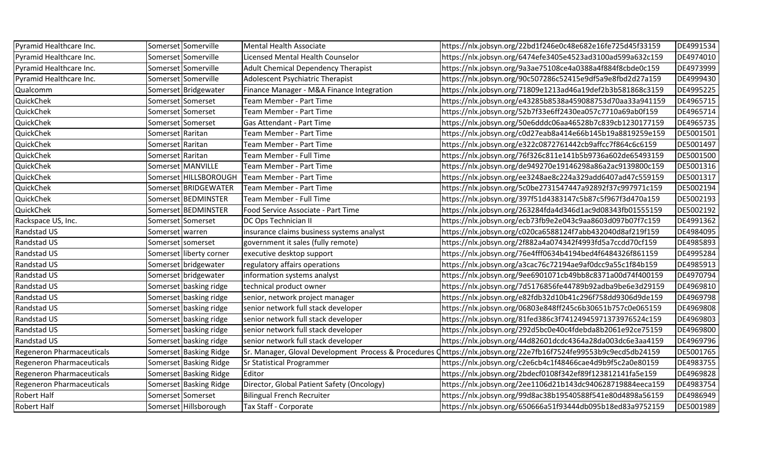| Pyramid Healthcare Inc.          |                   | Somerset Somerville     | Mental Health Associate                    | https://nlx.jobsyn.org/22bd1f246e0c48e682e16fe725d45f33159                                                       | DE4991534 |
|----------------------------------|-------------------|-------------------------|--------------------------------------------|------------------------------------------------------------------------------------------------------------------|-----------|
| Pyramid Healthcare Inc.          |                   | Somerset Somerville     | Licensed Mental Health Counselor           | https://nlx.jobsyn.org/6474efe3405e4523ad3100ad599a632c159                                                       | DE4974010 |
| Pyramid Healthcare Inc.          |                   | Somerset Somerville     | <b>Adult Chemical Dependency Therapist</b> | https://nlx.jobsyn.org/9a3ae75108ce4a0388a4f884f8cbde0c159                                                       | DE4973999 |
| Pyramid Healthcare Inc.          |                   | Somerset Somerville     | Adolescent Psychiatric Therapist           | https://nlx.jobsyn.org/90c507286c52415e9df5a9e8fbd2d27a159                                                       | DE4999430 |
| Qualcomm                         |                   | Somerset Bridgewater    | Finance Manager - M&A Finance Integration  | https://nlx.jobsyn.org/71809e1213ad46a19def2b3b581868c3159                                                       | DE4995225 |
| QuickChek                        |                   | Somerset Somerset       | Team Member - Part Time                    | https://nlx.jobsyn.org/e43285b8538a459088753d70aa33a941159                                                       | DE4965715 |
| QuickChek                        |                   | Somerset Somerset       | Team Member - Part Time                    | https://nlx.jobsyn.org/52b7f33e6ff2430ea057c7710a69ab0f159                                                       | DE4965714 |
| QuickChek                        |                   | Somerset Somerset       | Gas Attendant - Part Time                  | https://nlx.jobsyn.org/50e6dddc06aa46528b7c839cb1230177159                                                       | DE4965735 |
| QuickChek                        | Somerset Raritan  |                         | Team Member - Part Time                    | https://nlx.jobsyn.org/c0d27eab8a414e66b145b19a8819259e159                                                       | DE5001501 |
| QuickChek                        | Somerset Raritan  |                         | Team Member - Part Time                    | https://nlx.jobsyn.org/e322c0872761442cb9affcc7f864c6c6159                                                       | DE5001497 |
| QuickChek                        | Somerset Raritan  |                         | Team Member - Full Time                    | https://nlx.jobsyn.org/76f326c811e141b5b9736a602de65493159                                                       | DE5001500 |
| QuickChek                        |                   | Somerset MANVILLE       | Team Member - Part Time                    | https://nlx.jobsyn.org/de949270e19146298a86a2ac9139800c159                                                       | DE5001316 |
| QuickChek                        |                   | Somerset HILLSBOROUGH   | Team Member - Part Time                    | https://nlx.jobsyn.org/ee3248ae8c224a329add6407ad47c559159                                                       | DE5001317 |
| QuickChek                        |                   | Somerset BRIDGEWATER    | Team Member - Part Time                    | https://nlx.jobsyn.org/5c0be2731547447a92892f37c997971c159                                                       | DE5002194 |
| QuickChek                        |                   | Somerset BEDMINSTER     | Team Member - Full Time                    | https://nlx.jobsyn.org/397f51d4383147c5b87c5f967f3d470a159                                                       | DE5002193 |
| QuickChek                        |                   | Somerset BEDMINSTER     | Food Service Associate - Part Time         | https://nlx.jobsyn.org/263284fda4d346d1ac9d08343fb01555159                                                       | DE5002192 |
| Rackspace US, Inc.               |                   | Somerset Somerset       | DC Ops Technician II                       | https://nlx.jobsyn.org/ecb73fb9e2e043c9aa8603d097b07f7c159                                                       | DE4991362 |
| Randstad US                      | Somerset   warren |                         | insurance claims business systems analyst  | https://nlx.jobsyn.org/c020ca6588124f7abb432040d8af219f159                                                       | DE4984095 |
| Randstad US                      |                   | Somerset somerset       | government it sales (fully remote)         | https://nlx.jobsyn.org/2f882a4a074342f4993fd5a7ccdd70cf159                                                       | DE4985893 |
| Randstad US                      |                   | Somerset liberty corner | executive desktop support                  | https://nlx.jobsyn.org/76e4fff0634b4194bed4f6484326f861159                                                       | DE4995284 |
| Randstad US                      |                   | Somerset bridgewater    | regulatory affairs operations              | https://nlx.jobsyn.org/a3cac76c72194ae9af0dcc9a55c1f84b159                                                       | DE4985913 |
| Randstad US                      |                   | Somerset bridgewater    | information systems analyst                | https://nlx.jobsyn.org/9ee6901071cb49bb8c8371a00d74f400159                                                       | DE4970794 |
| Randstad US                      |                   | Somerset basking ridge  | technical product owner                    | https://nlx.jobsyn.org/7d5176856fe44789b92adba9be6e3d29159                                                       | DE4969810 |
| Randstad US                      |                   | Somerset basking ridge  | senior, network project manager            | https://nlx.jobsyn.org/e82fdb32d10b41c296f758dd9306d9de159                                                       | DE4969798 |
| Randstad US                      |                   | Somerset basking ridge  | senior network full stack developer        | https://nlx.jobsyn.org/06803e848ff245c6b30651b757c0e065159                                                       | DE4969808 |
| Randstad US                      |                   | Somerset basking ridge  | senior network full stack developer        | https://nlx.jobsyn.org/81fed386c3f74124945971373976524c159                                                       | DE4969803 |
| Randstad US                      |                   | Somerset basking ridge  | senior network full stack developer        | https://nlx.jobsyn.org/292d5bc0e40c4fdebda8b2061e92ce75159                                                       | DE4969800 |
| Randstad US                      |                   | Somerset basking ridge  | senior network full stack developer        | https://nlx.jobsyn.org/44d82601dcdc4364a28da003dc6e3aa4159                                                       | DE4969796 |
| <b>Regeneron Pharmaceuticals</b> |                   | Somerset Basking Ridge  |                                            | Sr. Manager, Gloval Development Process & Procedures Qhttps://nlx.jobsyn.org/22e7fb16f7524fe99553b9c9ecd5db24159 | DE5001765 |
| <b>Regeneron Pharmaceuticals</b> |                   | Somerset Basking Ridge  | <b>Sr Statistical Programmer</b>           | https://nlx.jobsyn.org/c2e6cb4c1f48466cae4d9b9f5c2a0e80159                                                       | DE4983755 |
| <b>Regeneron Pharmaceuticals</b> |                   | Somerset Basking Ridge  | Editor                                     | https://nlx.jobsyn.org/2bdecf0108f342ef89f123812141fa5e159                                                       | DE4969828 |
| Regeneron Pharmaceuticals        |                   | Somerset Basking Ridge  | Director, Global Patient Safety (Oncology) | https://nlx.jobsyn.org/2ee1106d21b143dc940628719884eeca159                                                       | DE4983754 |
| Robert Half                      |                   | Somerset Somerset       | <b>Bilingual French Recruiter</b>          | https://nlx.jobsyn.org/99d8ac38b19540588f541e80d4898a56159                                                       | DE4986949 |
| Robert Half                      |                   | Somerset Hillsborough   | Tax Staff - Corporate                      | https://nlx.jobsyn.org/650666a51f93444db095b18ed83a9752159                                                       | DE5001989 |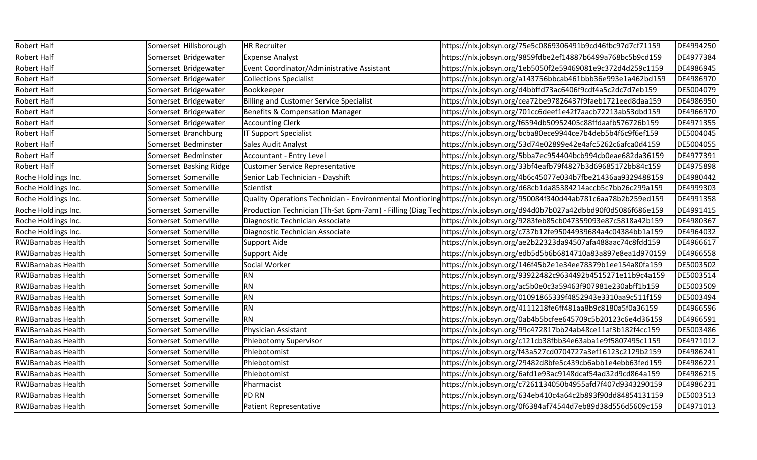| <b>Robert Half</b>        | Somerset Hillsborough  | <b>HR Recruiter</b>                            | https://nlx.jobsyn.org/75e5c0869306491b9cd46fbc97d7cf71159                                                           | DE4994250 |
|---------------------------|------------------------|------------------------------------------------|----------------------------------------------------------------------------------------------------------------------|-----------|
| Robert Half               | Somerset Bridgewater   | <b>Expense Analyst</b>                         | https://nlx.jobsyn.org/9859fdbe2ef14887b6499a768bc5b9cd159                                                           | DE4977384 |
| Robert Half               | Somerset Bridgewater   | Event Coordinator/Administrative Assistant     | https://nlx.jobsyn.org/1eb5050f2e59469081e9c372d4d259c1159                                                           | DE4986945 |
| Robert Half               | Somerset Bridgewater   | <b>Collections Specialist</b>                  | https://nlx.jobsyn.org/a143756bbcab461bbb36e993e1a462bd159                                                           | DE4986970 |
| <b>Robert Half</b>        | Somerset Bridgewater   | Bookkeeper                                     | https://nlx.jobsyn.org/d4bbffd73ac6406f9cdf4a5c2dc7d7eb159                                                           | DE5004079 |
| Robert Half               | Somerset Bridgewater   | <b>Billing and Customer Service Specialist</b> | https://nlx.jobsyn.org/cea72be97826437f9faeb1721eed8daa159                                                           | DE4986950 |
| <b>Robert Half</b>        | Somerset Bridgewater   | Benefits & Compensation Manager                | https://nlx.jobsyn.org/701cc6deef1e42f7aacb72213ab53dbd159                                                           | DE4966970 |
| Robert Half               | Somerset Bridgewater   | <b>Accounting Clerk</b>                        | https://nlx.jobsyn.org/f6594db50952405c88ffdaafb576726b159                                                           | DE4971355 |
| Robert Half               | Somerset Branchburg    | <b>IT Support Specialist</b>                   | https://nlx.jobsyn.org/bcba80ece9944ce7b4deb5b4f6c9f6ef159                                                           | DE5004045 |
| Robert Half               | Somerset Bedminster    | Sales Audit Analyst                            | https://nlx.jobsyn.org/53d74e02899e42e4afc5262c6afca0d4159                                                           | DE5004055 |
| Robert Half               | Somerset Bedminster    | Accountant - Entry Level                       | https://nlx.jobsyn.org/5bba7ec954404bcb994cb0eae682da36159                                                           | DE4977391 |
| Robert Half               | Somerset Basking Ridge | <b>Customer Service Representative</b>         | https://nlx.jobsyn.org/33bf4eafb79f4827b3d69685172bb84c159                                                           | DE4975898 |
| Roche Holdings Inc.       | Somerset Somerville    | Senior Lab Technician - Dayshift               | https://nlx.jobsyn.org/4b6c45077e034b7fbe21436aa9329488159                                                           | DE4980442 |
| Roche Holdings Inc.       | Somerset Somerville    | Scientist                                      | https://nlx.jobsyn.org/d68cb1da85384214accb5c7bb26c299a159                                                           | DE4999303 |
| Roche Holdings Inc.       | Somerset Somerville    |                                                | Quality Operations Technician - Environmental Montioringhttps://nlx.jobsyn.org/950084f340d44ab781c6aa78b2b259ed159   | DE4991358 |
| Roche Holdings Inc.       | Somerset Somerville    |                                                | Production Technician (Th-Sat 6pm-7am) - Filling (Diag Techttps://nlx.jobsyn.org/d94d0b7b027a42dbbd90f0d5086f686e159 | DE4991415 |
| Roche Holdings Inc.       | Somerset Somerville    | Diagnostic Technician Associate                | https://nlx.jobsyn.org/9283feb85cb047359093e87c5818a42b159                                                           | DE4980367 |
| Roche Holdings Inc.       | Somerset Somerville    | Diagnostic Technician Associate                | https://nlx.jobsyn.org/c737b12fe95044939684a4c04384bb1a159                                                           | DE4964032 |
| <b>RWJBarnabas Health</b> | Somerset Somerville    | <b>Support Aide</b>                            | https://nlx.jobsyn.org/ae2b22323da94507afa488aac74c8fdd159                                                           | DE4966617 |
| <b>RWJBarnabas Health</b> | Somerset Somerville    | <b>Support Aide</b>                            | https://nlx.jobsyn.org/edb5d5b6b6814710a83a897e8ea1d970159                                                           | DE4966558 |
| <b>RWJBarnabas Health</b> | Somerset Somerville    | Social Worker                                  | https://nlx.jobsyn.org/146f45b2e1e34ee78379b1ee154a80fa159                                                           | DE5003502 |
| <b>RWJBarnabas Health</b> | Somerset Somerville    | <b>RN</b>                                      | https://nlx.jobsyn.org/93922482c9634492b4515271e11b9c4a159                                                           | DE5003514 |
| <b>RWJBarnabas Health</b> | Somerset Somerville    | <b>RN</b>                                      | https://nlx.jobsyn.org/ac5b0e0c3a59463f907981e230abff1b159                                                           | DE5003509 |
| <b>RWJBarnabas Health</b> | Somerset Somerville    | <b>RN</b>                                      | https://nlx.jobsyn.org/01091865339f4852943e3310aa9c511f159                                                           | DE5003494 |
| <b>RWJBarnabas Health</b> | Somerset Somerville    | <b>RN</b>                                      | https://nlx.jobsyn.org/4111218fe6ff481aa8b9c8180a5f0a36159                                                           | DE4966596 |
| <b>RWJBarnabas Health</b> | Somerset Somerville    | <b>RN</b>                                      | https://nlx.jobsyn.org/0ab4b5bcfee645709c5b20123c6e4d36159                                                           | DE4966591 |
| <b>RWJBarnabas Health</b> | Somerset Somerville    | Physician Assistant                            | https://nlx.jobsyn.org/99c472817bb24ab48ce11af3b182f4cc159                                                           | DE5003486 |
| <b>RWJBarnabas Health</b> | Somerset Somerville    | <b>Phlebotomy Supervisor</b>                   | https://nlx.jobsyn.org/c121cb38fbb34e63aba1e9f5807495c1159                                                           | DE4971012 |
| <b>RWJBarnabas Health</b> | Somerset Somerville    | Phlebotomist                                   | https://nlx.jobsyn.org/f43a527cd0704727a3ef16123c2129b2159                                                           | DE4986241 |
| <b>RWJBarnabas Health</b> | Somerset Somerville    | Phlebotomist                                   | https://nlx.jobsyn.org/29482d8bfe5c439cb6abb1e4ebb63fed159                                                           | DE4986221 |
| <b>RWJBarnabas Health</b> | Somerset Somerville    | Phlebotomist                                   | https://nlx.jobsyn.org/6afd1e93ac9148dcaf54ad32d9cd864a159                                                           | DE4986215 |
| <b>RWJBarnabas Health</b> | Somerset Somerville    | Pharmacist                                     | https://nlx.jobsyn.org/c7261134050b4955afd7f407d9343290159                                                           | DE4986231 |
| <b>RWJBarnabas Health</b> | Somerset Somerville    | <b>PD RN</b>                                   | https://nlx.jobsyn.org/634eb410c4a64c2b893f90dd84854131159                                                           | DE5003513 |
| <b>RWJBarnabas Health</b> | Somerset Somerville    | <b>Patient Representative</b>                  | https://nlx.jobsyn.org/0f6384af74544d7eb89d38d556d5609c159                                                           | DE4971013 |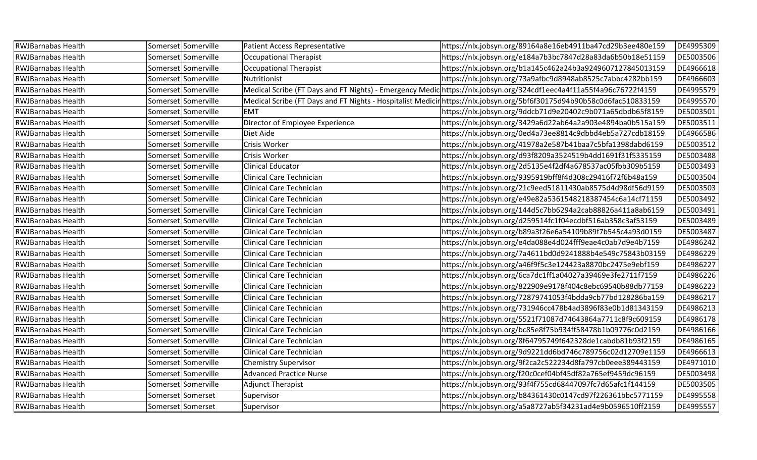| <b>RWJBarnabas Health</b> | Somerset Somerville | <b>Patient Access Representative</b> | https://nlx.jobsyn.org/89164a8e16eb4911ba47cd29b3ee480e159                                                             | DE4995309 |
|---------------------------|---------------------|--------------------------------------|------------------------------------------------------------------------------------------------------------------------|-----------|
| <b>RWJBarnabas Health</b> | Somerset Somerville | <b>Occupational Therapist</b>        | https://nlx.jobsyn.org/e184a7b3bc7847d28a83da6b50b18e51159                                                             | DE5003506 |
| <b>RWJBarnabas Health</b> | Somerset Somerville | <b>Occupational Therapist</b>        | https://nlx.jobsyn.org/b1a145c462a24b3a9249607127845013159                                                             | DE4966618 |
| <b>RWJBarnabas Health</b> | Somerset Somerville | Nutritionist                         | https://nlx.jobsyn.org/73a9afbc9d8948ab8525c7abbc4282bb159                                                             | DE4966603 |
| <b>RWJBarnabas Health</b> | Somerset Somerville |                                      | Medical Scribe (FT Days and FT Nights) - Emergency Medic https://nlx.jobsyn.org/324cdf1eec4a4f11a55f4a96c76722f4159    | DE4995579 |
| <b>RWJBarnabas Health</b> | Somerset Somerville |                                      | Medical Scribe (FT Days and FT Nights - Hospitalist Medicir https://nlx.jobsyn.org/5bf6f30175d94b90b58c0d6fac510833159 | DE4995570 |
| <b>RWJBarnabas Health</b> | Somerset Somerville | <b>EMT</b>                           | https://nlx.jobsyn.org/9ddcb71d9e20402c9b071a65dbdb65f8159                                                             | DE5003501 |
| <b>RWJBarnabas Health</b> | Somerset Somerville | Director of Employee Experience      | https://nlx.jobsyn.org/3429a6d22ab64a2a903e4894ba0b515a159                                                             | DE5003511 |
| <b>RWJBarnabas Health</b> | Somerset Somerville | Diet Aide                            | https://nlx.jobsyn.org/0ed4a73ee8814c9dbbd4eb5a727cdb18159                                                             | DE4966586 |
| <b>RWJBarnabas Health</b> | Somerset Somerville | Crisis Worker                        | https://nlx.jobsyn.org/41978a2e587b41baa7c5bfa1398dabd6159                                                             | DE5003512 |
| <b>RWJBarnabas Health</b> | Somerset Somerville | Crisis Worker                        | https://nlx.jobsyn.org/d93f8209a3524519b4dd1691f31f5335159                                                             | DE5003488 |
| <b>RWJBarnabas Health</b> | Somerset Somerville | <b>Clinical Educator</b>             | https://nlx.jobsyn.org/2d5135e4f2df4a678537ac05fbb309b5159                                                             | DE5003493 |
| <b>RWJBarnabas Health</b> | Somerset Somerville | Clinical Care Technician             | https://nlx.jobsyn.org/9395919bff8f4d308c29416f72f6b48a159                                                             | DE5003504 |
| <b>RWJBarnabas Health</b> | Somerset Somerville | <b>Clinical Care Technician</b>      | https://nlx.jobsyn.org/21c9eed51811430ab8575d4d98df56d9159                                                             | DE5003503 |
| <b>RWJBarnabas Health</b> | Somerset Somerville | Clinical Care Technician             | https://nlx.jobsyn.org/e49e82a5361548218387454c6a14cf71159                                                             | DE5003492 |
| <b>RWJBarnabas Health</b> | Somerset Somerville | <b>Clinical Care Technician</b>      | https://nlx.jobsyn.org/144d5c7bb6294a2cab88826a411a8ab6159                                                             | DE5003491 |
| <b>RWJBarnabas Health</b> | Somerset Somerville | Clinical Care Technician             | https://nlx.jobsyn.org/d259514fc1f04ecdbf516ab358c3af53159                                                             | DE5003489 |
| <b>RWJBarnabas Health</b> | Somerset Somerville | Clinical Care Technician             | https://nlx.jobsyn.org/b89a3f26e6a54109b89f7b545c4a93d0159                                                             | DE5003487 |
| <b>RWJBarnabas Health</b> | Somerset Somerville | Clinical Care Technician             | https://nlx.jobsyn.org/e4da088e4d024fff9eae4c0ab7d9e4b7159                                                             | DE4986242 |
| <b>RWJBarnabas Health</b> | Somerset Somerville | Clinical Care Technician             | https://nlx.jobsyn.org/7a4611bd0d9241888b4e549c75843b03159                                                             | DE4986229 |
| <b>RWJBarnabas Health</b> | Somerset Somerville | <b>Clinical Care Technician</b>      | https://nlx.jobsyn.org/a46f9f5c3e124423a8870bc2475e9ebf159                                                             | DE4986227 |
| <b>RWJBarnabas Health</b> | Somerset Somerville | Clinical Care Technician             | https://nlx.jobsyn.org/6ca7dc1ff1a04027a39469e3fe2711f7159                                                             | DE4986226 |
| <b>RWJBarnabas Health</b> | Somerset Somerville | Clinical Care Technician             | https://nlx.jobsyn.org/822909e9178f404c8ebc69540b88db77159                                                             | DE4986223 |
| <b>RWJBarnabas Health</b> | Somerset Somerville | Clinical Care Technician             | https://nlx.jobsyn.org/72879741053f4bdda9cb77bd128286ba159                                                             | DE4986217 |
| <b>RWJBarnabas Health</b> | Somerset Somerville | Clinical Care Technician             | https://nlx.jobsyn.org/731946cc478b4ad3896f83e0b1d81343159                                                             | DE4986213 |
| <b>RWJBarnabas Health</b> | Somerset Somerville | <b>Clinical Care Technician</b>      | https://nlx.jobsyn.org/5521f71087d74643864a7711c8f9c609159                                                             | DE4986178 |
| <b>RWJBarnabas Health</b> | Somerset Somerville | Clinical Care Technician             | https://nlx.jobsyn.org/bc85e8f75b934ff58478b1b09776c0d2159                                                             | DE4986166 |
| <b>RWJBarnabas Health</b> | Somerset Somerville | Clinical Care Technician             | https://nlx.jobsyn.org/8f64795749f642328de1cabdb81b93f2159                                                             | DE4986165 |
| <b>RWJBarnabas Health</b> | Somerset Somerville | Clinical Care Technician             | https://nlx.jobsyn.org/9d9221dd6bd746c789756c02d12709e1159                                                             | DE4966613 |
| <b>RWJBarnabas Health</b> | Somerset Somerville | <b>Chemistry Supervisor</b>          | https://nlx.jobsyn.org/9f2ca2c522234d8fa797cb0eee389443159                                                             | DE4971010 |
| <b>RWJBarnabas Health</b> | Somerset Somerville | <b>Advanced Practice Nurse</b>       | https://nlx.jobsyn.org/f20c0cef04bf45df82a765ef9459dc96159                                                             | DE5003498 |
| <b>RWJBarnabas Health</b> | Somerset Somerville | <b>Adjunct Therapist</b>             | https://nlx.jobsyn.org/93f4f755cd68447097fc7d65afc1f144159                                                             | DE5003505 |
| <b>RWJBarnabas Health</b> | Somerset Somerset   | Supervisor                           | https://nlx.jobsyn.org/b84361430c0147cd97f226361bbc5771159                                                             | DE4995558 |
| <b>RWJBarnabas Health</b> | Somerset Somerset   | Supervisor                           | https://nlx.jobsyn.org/a5a8727ab5f34231ad4e9b0596510ff2159                                                             | DE4995557 |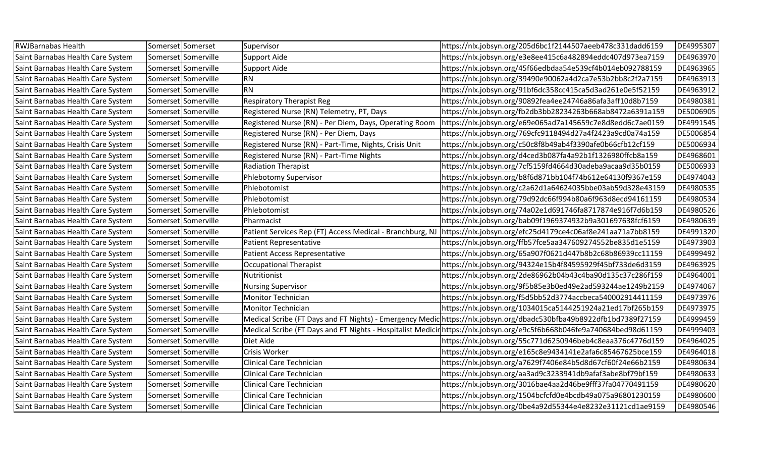| <b>RWJBarnabas Health</b>         | Somerset Somerset   | Supervisor                                                | https://nlx.jobsyn.org/205d6bc1f2144507aeeb478c331dadd6159                                                            | DE4995307 |
|-----------------------------------|---------------------|-----------------------------------------------------------|-----------------------------------------------------------------------------------------------------------------------|-----------|
| Saint Barnabas Health Care System | Somerset Somerville | Support Aide                                              | https://nlx.jobsyn.org/e3e8ee415c6a482894eddc407d973ea7159                                                            | DE4963970 |
| Saint Barnabas Health Care System | Somerset Somerville | <b>Support Aide</b>                                       | https://nlx.jobsyn.org/45f66edbdaa54e539cf4b014eb092788159                                                            | DE4963965 |
| Saint Barnabas Health Care System | Somerset Somerville | <b>RN</b>                                                 | https://nlx.jobsyn.org/39490e90062a4d2ca7e53b2bb8c2f2a7159                                                            | DE4963913 |
| Saint Barnabas Health Care System | Somerset Somerville | <b>RN</b>                                                 | https://nlx.jobsyn.org/91bf6dc358cc415ca5d3ad261e0e5f52159                                                            | DE4963912 |
| Saint Barnabas Health Care System | Somerset Somerville | <b>Respiratory Therapist Reg</b>                          | https://nlx.jobsyn.org/90892fea4ee24746a86afa3aff10d8b7159                                                            | DE4980381 |
| Saint Barnabas Health Care System | Somerset Somerville | Registered Nurse (RN) Telemetry, PT, Days                 | https://nlx.jobsyn.org/fb2db3bb28234263b668ab8472a6391a159                                                            | DE5006905 |
| Saint Barnabas Health Care System | Somerset Somerville | Registered Nurse (RN) - Per Diem, Days, Operating Room    | https://nlx.jobsyn.org/e69e065ad7a145659c7e8d8edd6c7ae0159                                                            | DE4991545 |
| Saint Barnabas Health Care System | Somerset Somerville | Registered Nurse (RN) - Per Diem, Days                    | https://nlx.jobsyn.org/769cfc9118494d27a4f2423a9cd0a74a159                                                            | DE5006854 |
| Saint Barnabas Health Care System | Somerset Somerville | Registered Nurse (RN) - Part-Time, Nights, Crisis Unit    | https://nlx.jobsyn.org/c50c8f8b49ab4f3390afe0b66cfb12cf159                                                            | DE5006934 |
| Saint Barnabas Health Care System | Somerset Somerville | Registered Nurse (RN) - Part-Time Nights                  | https://nlx.jobsyn.org/d4ced3b087fa4a92b1f1326980ffcb8a159                                                            | DE4968601 |
| Saint Barnabas Health Care System | Somerset Somerville | <b>Radiation Therapist</b>                                | https://nlx.jobsyn.org/7cf5159fd4664d30adeba9acaa9d35b0159                                                            | DE5006933 |
| Saint Barnabas Health Care System | Somerset Somerville | Phlebotomy Supervisor                                     | https://nlx.jobsyn.org/b8f6d871bb104f74b612e64130f9367e159                                                            | DE4974043 |
| Saint Barnabas Health Care System | Somerset Somerville | Phlebotomist                                              | https://nlx.jobsyn.org/c2a62d1a64624035bbe03ab59d328e43159                                                            | DE4980535 |
| Saint Barnabas Health Care System | Somerset Somerville | Phlebotomist                                              | https://nlx.jobsyn.org/79d92dc66f994b80a6f963d8ecd94161159                                                            | DE4980534 |
| Saint Barnabas Health Care System | Somerset Somerville | Phlebotomist                                              | https://nlx.jobsyn.org/74a02e1d691746fa8717874e916f7d6b159                                                            | DE4980526 |
| Saint Barnabas Health Care System | Somerset Somerville | Pharmacist                                                | https://nlx.jobsyn.org/bab09f1969374932b9a301697638fcf6159                                                            | DE4980639 |
| Saint Barnabas Health Care System | Somerset Somerville | Patient Services Rep (FT) Access Medical - Branchburg, NJ | https://nlx.jobsyn.org/efc25d4179ce4c06af8e241aa71a7bb8159                                                            | DE4991320 |
| Saint Barnabas Health Care System | Somerset Somerville | <b>Patient Representative</b>                             | https://nlx.jobsyn.org/ffb57fce5aa347609274552be835d1e5159                                                            | DE4973903 |
| Saint Barnabas Health Care System | Somerset Somerville | <b>Patient Access Representative</b>                      | https://nlx.jobsyn.org/65a907f0621d447b8b2c68b86939cc11159                                                            | DE4999492 |
| Saint Barnabas Health Care System | Somerset Somerville | <b>Occupational Therapist</b>                             | https://nlx.jobsyn.org/94324e15b4f84595929f45bf733de6d3159                                                            | DE4963925 |
| Saint Barnabas Health Care System | Somerset Somerville | Nutritionist                                              | https://nlx.jobsyn.org/2de86962b04b43c4ba90d135c37c286f159                                                            | DE4964001 |
| Saint Barnabas Health Care System | Somerset Somerville | <b>Nursing Supervisor</b>                                 | https://nlx.jobsyn.org/9f5b85e3b0ed49e2ad593244ae1249b2159                                                            | DE4974067 |
| Saint Barnabas Health Care System | Somerset Somerville | <b>Monitor Technician</b>                                 | https://nlx.jobsyn.org/f5d5bb52d3774accbeca540002914411159                                                            | DE4973976 |
| Saint Barnabas Health Care System | Somerset Somerville | Monitor Technician                                        | https://nlx.jobsyn.org/1034015ca5144251924a21ed17bf265b159                                                            | DE4973975 |
| Saint Barnabas Health Care System | Somerset Somerville |                                                           | Medical Scribe (FT Days and FT Nights) - Emergency Medic https://nlx.jobsyn.org/dbadc530bfba49b8922dfb1bd7389f27159   | DE4999459 |
| Saint Barnabas Health Care System | Somerset Somerville |                                                           | Medical Scribe (FT Days and FT Nights - Hospitalist Medicinhttps://nlx.jobsyn.org/e9c5f6b668b046fe9a740684bed98d61159 | DE4999403 |
| Saint Barnabas Health Care System | Somerset Somerville | Diet Aide                                                 | https://nlx.jobsyn.org/55c771d6250946beb4c8eaa376c4776d159                                                            | DE4964025 |
| Saint Barnabas Health Care System | Somerset Somerville | Crisis Worker                                             | https://nlx.jobsyn.org/e165c8e9434141e2afa6c85467625bce159                                                            | DE4964018 |
| Saint Barnabas Health Care System | Somerset Somerville | Clinical Care Technician                                  | https://nlx.jobsyn.org/a7629f7406e84b5d8d67cf60f24e66b2159                                                            | DE4980634 |
| Saint Barnabas Health Care System | Somerset Somerville | Clinical Care Technician                                  | https://nlx.jobsyn.org/aa3ad9c3233941db9afaf3abe8bf79bf159                                                            | DE4980633 |
| Saint Barnabas Health Care System | Somerset Somerville | Clinical Care Technician                                  | https://nlx.jobsyn.org/3016bae4aa2d46be9fff37fa04770491159                                                            | DE4980620 |
| Saint Barnabas Health Care System | Somerset Somerville | Clinical Care Technician                                  | https://nlx.jobsyn.org/1504bcfcfd0e4bcdb49a075a96801230159                                                            | DE4980600 |
| Saint Barnabas Health Care System | Somerset Somerville | Clinical Care Technician                                  | https://nlx.jobsyn.org/0be4a92d55344e4e8232e31121cd1ae9159                                                            | DE4980546 |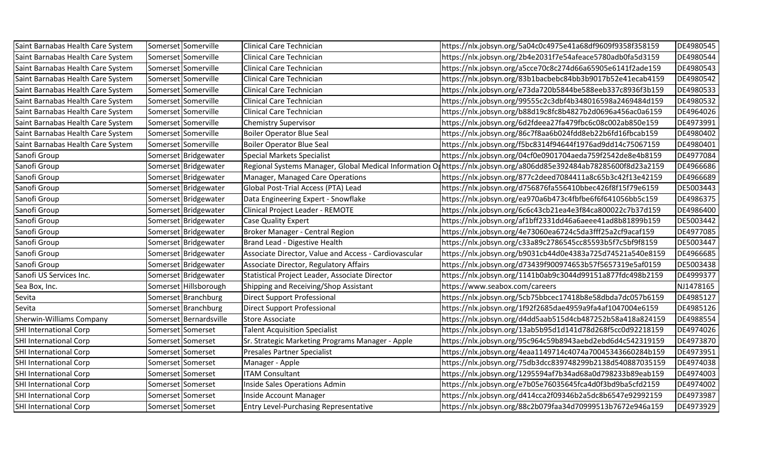| Saint Barnabas Health Care System | Somerset Somerville    | Clinical Care Technician                              | https://nlx.jobsyn.org/5a04c0c4975e41a68df9609f9358f358159                                                         | DE4980545 |
|-----------------------------------|------------------------|-------------------------------------------------------|--------------------------------------------------------------------------------------------------------------------|-----------|
| Saint Barnabas Health Care System | Somerset Somerville    | Clinical Care Technician                              | https://nlx.jobsyn.org/2b4e2031f7e54afeace5780adb0fa5d3159                                                         | DE4980544 |
| Saint Barnabas Health Care System | Somerset Somerville    | <b>Clinical Care Technician</b>                       | https://nlx.jobsyn.org/a5cce70c8c274d66a65905e6141f2ade159                                                         | DE4980543 |
| Saint Barnabas Health Care System | Somerset Somerville    | Clinical Care Technician                              | https://nlx.jobsyn.org/83b1bacbebc84bb3b9017b52e41ecab4159                                                         | DE4980542 |
| Saint Barnabas Health Care System | Somerset Somerville    | Clinical Care Technician                              | https://nlx.jobsyn.org/e73da720b5844be588eeb337c8936f3b159                                                         | DE4980533 |
| Saint Barnabas Health Care System | Somerset Somerville    | Clinical Care Technician                              | https://nlx.jobsyn.org/99555c2c3dbf4b348016598a2469484d159                                                         | DE4980532 |
| Saint Barnabas Health Care System | Somerset Somerville    | Clinical Care Technician                              | https://nlx.jobsyn.org/b88d19c8fc8b4827b2d0696a456ac0a6159                                                         | DE4964026 |
| Saint Barnabas Health Care System | Somerset Somerville    | <b>Chemistry Supervisor</b>                           | https://nlx.jobsyn.org/6d2fdeea27fa479fbc6c08c002ab850e159                                                         | DE4973991 |
| Saint Barnabas Health Care System | Somerset Somerville    | <b>Boiler Operator Blue Seal</b>                      | https://nlx.jobsyn.org/86c7f8aa6b024fdd8eb22b6fd16fbcab159                                                         | DE4980402 |
| Saint Barnabas Health Care System | Somerset Somerville    | <b>Boiler Operator Blue Seal</b>                      | https://nlx.jobsyn.org/f5bc8314f94644f1976ad9dd14c75067159                                                         | DE4980401 |
| Sanofi Group                      | Somerset Bridgewater   | <b>Special Markets Specialist</b>                     | https://nlx.jobsyn.org/04cf0e0901704aeda759f2542de8e4b8159                                                         | DE4977084 |
| Sanofi Group                      | Somerset Bridgewater   |                                                       | Regional Systems Manager, Global Medical Information On https://nlx.jobsyn.org/a806dd85e392484ab78285600f8d23a2159 | DE4966686 |
| Sanofi Group                      | Somerset Bridgewater   | Manager, Managed Care Operations                      | https://nlx.jobsyn.org/877c2deed7084411a8c65b3c42f13e42159                                                         | DE4966689 |
| Sanofi Group                      | Somerset Bridgewater   | Global Post-Trial Access (PTA) Lead                   | https://nlx.jobsyn.org/d756876fa556410bbec426f8f15f79e6159                                                         | DE5003443 |
| Sanofi Group                      | Somerset Bridgewater   | Data Engineering Expert - Snowflake                   | https://nlx.jobsyn.org/ea970a6b473c4fbfbe6f6f641056bb5c159                                                         | DE4986375 |
| Sanofi Group                      | Somerset Bridgewater   | Clinical Project Leader - REMOTE                      | https://nlx.jobsyn.org/6c6c43cb21ea4e3f84ca800022c7b37d159                                                         | DE4986400 |
| Sanofi Group                      | Somerset Bridgewater   | <b>Case Quality Expert</b>                            | https://nlx.jobsyn.org/af1bff2331dd46a6aeee41ad8b81899b159                                                         | DE5003442 |
| Sanofi Group                      | Somerset Bridgewater   | Broker Manager - Central Region                       | https://nlx.jobsyn.org/4e73060ea6724c5da3fff25a2cf9acaf159                                                         | DE4977085 |
| Sanofi Group                      | Somerset Bridgewater   | Brand Lead - Digestive Health                         | https://nlx.jobsyn.org/c33a89c2786545cc85593b5f7c5bf9f8159                                                         | DE5003447 |
| Sanofi Group                      | Somerset Bridgewater   | Associate Director, Value and Access - Cardiovascular | https://nlx.jobsyn.org/b9031cb44d0e4383a725d74521a540e8159                                                         | DE4966685 |
| Sanofi Group                      | Somerset Bridgewater   | <b>Associate Director, Regulatory Affairs</b>         | https://nlx.jobsyn.org/d73439f900974653b57f5657319e5af0159                                                         | DE5003438 |
| Sanofi US Services Inc.           | Somerset Bridgewater   | Statistical Project Leader, Associate Director        | https://nlx.jobsyn.org/1141b0ab9c3044d99151a877fdc498b2159                                                         | DE4999377 |
| Sea Box, Inc.                     | Somerset Hillsborough  | Shipping and Receiving/Shop Assistant                 | https://www.seabox.com/careers                                                                                     | NJ1478165 |
| Sevita                            | Somerset Branchburg    | <b>Direct Support Professional</b>                    | https://nlx.jobsyn.org/5cb75bbcec17418b8e58dbda7dc057b6159                                                         | DE4985127 |
| Sevita                            | Somerset Branchburg    | <b>Direct Support Professional</b>                    | https://nlx.jobsyn.org/1f92f2685dae4959a9fa4af1047004e6159                                                         | DE4985126 |
| <b>Sherwin-Williams Company</b>   | Somerset Bernardsville | <b>Store Associate</b>                                | https://nlx.jobsyn.org/d4dd5aab515d4cb487252b58a418a824159                                                         | DE4988554 |
| <b>SHI International Corp</b>     | Somerset Somerset      | <b>Talent Acquisition Specialist</b>                  | https://nlx.jobsyn.org/13ab5b95d1d141d78d268f5cc0d92218159                                                         | DE4974026 |
| <b>SHI International Corp</b>     | Somerset Somerset      | Sr. Strategic Marketing Programs Manager - Apple      | https://nlx.jobsyn.org/95c964c59b8943aebd2ebd6d4c542319159                                                         | DE4973870 |
| <b>SHI International Corp</b>     | Somerset Somerset      | Presales Partner Specialist                           | https://nlx.jobsyn.org/4eaa1149714c4074a70045343660284b159                                                         | DE4973951 |
| <b>SHI International Corp</b>     | Somerset Somerset      | Manager - Apple                                       | https://nlx.jobsyn.org/75db3dcc839748299b2138d540887035159                                                         | DE4974038 |
| <b>SHI International Corp</b>     | Somerset Somerset      | <b>ITAM Consultant</b>                                | https://nlx.jobsyn.org/1295594af7b34ad68a0d798233b89eab159                                                         | DE4974003 |
| <b>SHI International Corp</b>     | Somerset Somerset      | Inside Sales Operations Admin                         | https://nlx.jobsyn.org/e7b05e76035645fca4d0f3bd9ba5cfd2159                                                         | DE4974002 |
| <b>SHI International Corp</b>     | Somerset Somerset      | Inside Account Manager                                | https://nlx.jobsyn.org/d414cca2f09346b2a5dc8b6547e92992159                                                         | DE4973987 |
| <b>SHI International Corp</b>     | Somerset Somerset      | <b>Entry Level-Purchasing Representative</b>          | https://nlx.jobsyn.org/88c2b079faa34d70999513b7672e946a159                                                         | DE4973929 |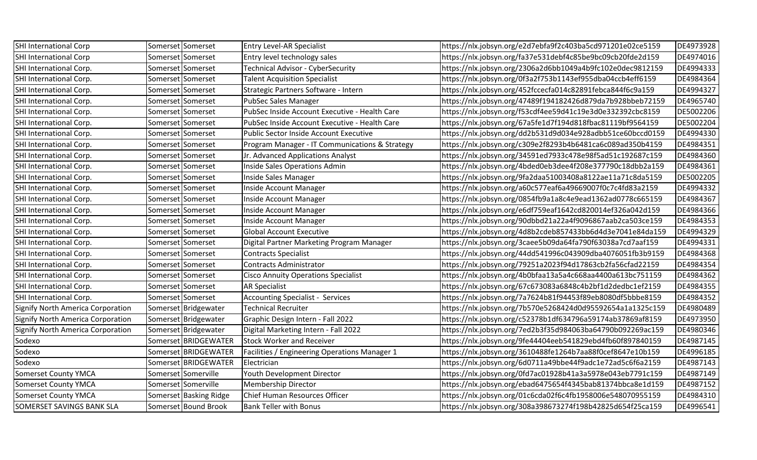| SHI International Corp                   | Somerset Somerset      | <b>Entry Level-AR Specialist</b>               | https://nlx.jobsyn.org/e2d7ebfa9f2c403ba5cd971201e02ce5159 | DE4973928 |
|------------------------------------------|------------------------|------------------------------------------------|------------------------------------------------------------|-----------|
| SHI International Corp                   | Somerset Somerset      | Entry level technology sales                   | https://nlx.jobsyn.org/fa37e531debf4c85be9bc09cb20fde2d159 | DE4974016 |
| SHI International Corp.                  | Somerset Somerset      | Technical Advisor - CyberSecurity              | https://nlx.jobsyn.org/2306a2d6bb1049a4b9fc102e0dec9812159 | DE4994333 |
| SHI International Corp.                  | Somerset Somerset      | <b>Talent Acquisition Specialist</b>           | https://nlx.jobsyn.org/0f3a2f753b1143ef955dba04ccb4eff6159 | DE4984364 |
| SHI International Corp.                  | Somerset Somerset      | Strategic Partners Software - Intern           | https://nlx.jobsyn.org/452fccecfa014c82891febca844f6c9a159 | DE4994327 |
| SHI International Corp.                  | Somerset Somerset      | PubSec Sales Manager                           | https://nlx.jobsyn.org/47489f194182426d879da7b928bbeb72159 | DE4965740 |
| SHI International Corp.                  | Somerset Somerset      | PubSec Inside Account Executive - Health Care  | https://nlx.jobsyn.org/f53cdf4ee59d41c19e3d0e332392cbc8159 | DE5002206 |
| SHI International Corp.                  | Somerset Somerset      | PubSec Inside Account Executive - Health Care  | https://nlx.jobsyn.org/67a5fe1d7f194d818fbac81119bf9564159 | DE5002204 |
| SHI International Corp.                  | Somerset Somerset      | Public Sector Inside Account Executive         | https://nlx.jobsyn.org/dd2b531d9d034e928adbb51ce60bccd0159 | DE4994330 |
| SHI International Corp.                  | Somerset Somerset      | Program Manager - IT Communications & Strategy | https://nlx.jobsyn.org/c309e2f8293b4b6481ca6c089ad350b4159 | DE4984351 |
| SHI International Corp.                  | Somerset Somerset      | Jr. Advanced Applications Analyst              | https://nlx.jobsyn.org/34591ed7933c478e98f5ad51c192687c159 | DE4984360 |
| SHI International Corp.                  | Somerset Somerset      | Inside Sales Operations Admin                  | https://nlx.jobsyn.org/4bded0eb3dee4f208e377790c18dbb2a159 | DE4984361 |
| SHI International Corp.                  | Somerset Somerset      | Inside Sales Manager                           | https://nlx.jobsyn.org/9fa2daa51003408a8122ae11a71c8da5159 | DE5002205 |
| SHI International Corp.                  | Somerset Somerset      | Inside Account Manager                         | https://nlx.jobsyn.org/a60c577eaf6a49669007f0c7c4fd83a2159 | DE4994332 |
| SHI International Corp.                  | Somerset Somerset      | Inside Account Manager                         | https://nlx.jobsyn.org/0854fb9a1a8c4e9ead1362ad0778c665159 | DE4984367 |
| SHI International Corp.                  | Somerset Somerset      | Inside Account Manager                         | https://nlx.jobsyn.org/e6df759eaf1642cd820014ef326a042d159 | DE4984366 |
| SHI International Corp.                  | Somerset Somerset      | Inside Account Manager                         | https://nlx.jobsyn.org/90dbbd21a22a4f9096867aab2ca503ce159 | DE4984353 |
| SHI International Corp.                  | Somerset Somerset      | <b>Global Account Executive</b>                | https://nlx.jobsyn.org/4d8b2cdeb857433bb6d4d3e7041e84da159 | DE4994329 |
| SHI International Corp.                  | Somerset Somerset      | Digital Partner Marketing Program Manager      | https://nlx.jobsyn.org/3caee5b09da64fa790f63038a7cd7aaf159 | DE4994331 |
| SHI International Corp.                  | Somerset Somerset      | <b>Contracts Specialist</b>                    | https://nlx.jobsyn.org/44dd541996c043909dba4076051fb3b9159 | DE4984368 |
| SHI International Corp.                  | Somerset Somerset      | <b>Contracts Administrator</b>                 | https://nlx.jobsyn.org/79251a2023f94d17863cb2fa56cfad22159 | DE4984354 |
| SHI International Corp.                  | Somerset Somerset      | <b>Cisco Annuity Operations Specialist</b>     | https://nlx.jobsyn.org/4b0bfaa13a5a4c668aa4400a613bc751159 | DE4984362 |
| SHI International Corp.                  | Somerset Somerset      | <b>AR Specialist</b>                           | https://nlx.jobsyn.org/67c673083a6848c4b2bf1d2dedbc1ef2159 | DE4984355 |
| SHI International Corp.                  | Somerset Somerset      | <b>Accounting Specialist - Services</b>        | https://nlx.jobsyn.org/7a7624b81f94453f89eb8080df5bbbe8159 | DE4984352 |
| <b>Signify North America Corporation</b> | Somerset Bridgewater   | <b>Technical Recruiter</b>                     | https://nlx.jobsyn.org/7b570e5268424d0d95592654a1a1325c159 | DE4980489 |
| <b>Signify North America Corporation</b> | Somerset Bridgewater   | Graphic Design Intern - Fall 2022              | https://nlx.jobsyn.org/c52378b1df634796a59174ab37869af8159 | DE4973950 |
| Signify North America Corporation        | Somerset Bridgewater   | Digital Marketing Intern - Fall 2022           | https://nlx.jobsyn.org/7ed2b3f35d984063ba64790b092269ac159 | DE4980346 |
| Sodexo                                   | Somerset BRIDGEWATER   | <b>Stock Worker and Receiver</b>               | https://nlx.jobsyn.org/9fe44404eeb541829ebd4fb60f897840159 | DE4987145 |
| Sodexo                                   | Somerset BRIDGEWATER   | Facilities / Engineering Operations Manager 1  | https://nlx.jobsyn.org/3610488fe1264b7aa88f0cef8647e10b159 | DE4996185 |
| Sodexo                                   | Somerset BRIDGEWATER   | Electrician                                    | https://nlx.jobsyn.org/6d0711a49bbe44f9adc1e72ad5c6f6a2159 | DE4987143 |
| <b>Somerset County YMCA</b>              | Somerset Somerville    | Youth Development Director                     | https://nlx.jobsyn.org/0fd7ac01928b41a3a5978e043eb7791c159 | DE4987149 |
| <b>Somerset County YMCA</b>              | Somerset Somerville    | <b>Membership Director</b>                     | https://nlx.jobsyn.org/ebad6475654f4345bab81374bbca8e1d159 | DE4987152 |
| <b>Somerset County YMCA</b>              | Somerset Basking Ridge | Chief Human Resources Officer                  | https://nlx.jobsyn.org/01c6cda02f6c4fb1958006e548070955159 | DE4984310 |
| SOMERSET SAVINGS BANK SLA                | Somerset Bound Brook   | <b>Bank Teller with Bonus</b>                  | https://nlx.jobsyn.org/308a398673274f198b42825d654f25ca159 | DE4996541 |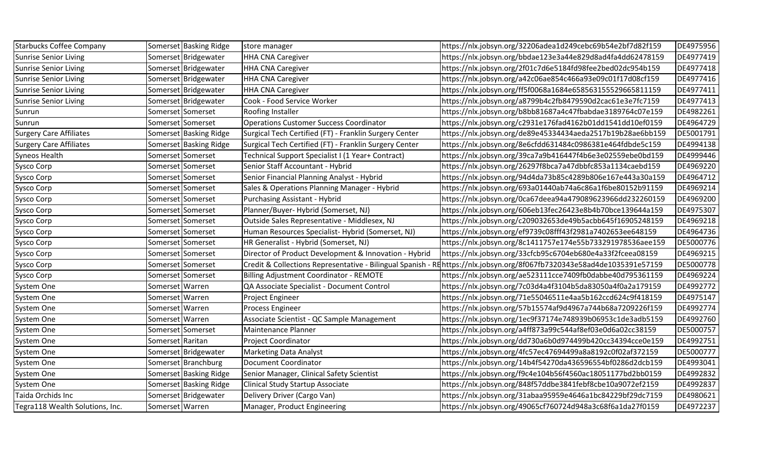| <b>Starbucks Coffee Company</b> |                   | Somerset Basking Ridge | store manager                                          | https://nlx.jobsyn.org/32206adea1d249cebc69b54e2bf7d82f159                                                             | DE4975956 |
|---------------------------------|-------------------|------------------------|--------------------------------------------------------|------------------------------------------------------------------------------------------------------------------------|-----------|
| <b>Sunrise Senior Living</b>    |                   | Somerset Bridgewater   | <b>HHA CNA Caregiver</b>                               | https://nlx.jobsyn.org/bbdae123e3a44e829d8ad4fa4dd62478159                                                             | DE4977419 |
| <b>Sunrise Senior Living</b>    |                   | Somerset Bridgewater   | <b>HHA CNA Caregiver</b>                               | https://nlx.jobsyn.org/2f01c7d6e5184fd98fee2bed02dc954b159                                                             | DE4977418 |
| <b>Sunrise Senior Living</b>    |                   | Somerset Bridgewater   | <b>HHA CNA Caregiver</b>                               | https://nlx.jobsyn.org/a42c06ae854c466a93e09c01f17d08cf159                                                             | DE4977416 |
| <b>Sunrise Senior Living</b>    |                   | Somerset Bridgewater   | <b>HHA CNA Caregiver</b>                               | https://nlx.jobsyn.org/ff5f0068a1684e658563155529665811159                                                             | DE4977411 |
| <b>Sunrise Senior Living</b>    |                   | Somerset Bridgewater   | Cook - Food Service Worker                             | https://nlx.jobsyn.org/a8799b4c2fb8479590d2cac61e3e7fc7159                                                             | DE4977413 |
| Sunrun                          |                   | Somerset Somerset      | Roofing Installer                                      | https://nlx.jobsyn.org/b8bb81687a4c47fbabdae3189764c07e159                                                             | DE4982261 |
| Sunrun                          |                   | Somerset Somerset      | <b>Operations Customer Success Coordinator</b>         | https://nlx.jobsyn.org/c2931e176fad4162b01dd1541dd10ef0159                                                             | DE4964729 |
| <b>Surgery Care Affiliates</b>  |                   | Somerset Basking Ridge | Surgical Tech Certified (FT) - Franklin Surgery Center | https://nlx.jobsyn.org/de89e45334434aeda2517b19b28ae6bb159                                                             | DE5001791 |
| <b>Surgery Care Affiliates</b>  |                   | Somerset Basking Ridge | Surgical Tech Certified (FT) - Franklin Surgery Center | https://nlx.jobsyn.org/8e6cfdd631484c0986381e464fdbde5c159                                                             | DE4994138 |
| Syneos Health                   |                   | Somerset Somerset      | Technical Support Specialist I (1 Year+ Contract)      | https://nlx.jobsyn.org/39ca7a9b416447f4b6e3e02559ebe0bd159                                                             | DE4999446 |
| Sysco Corp                      |                   | Somerset Somerset      | Senior Staff Accountant - Hybrid                       | https://nlx.jobsyn.org/26297f8bca7a47dbbfc853a1134caebd159                                                             | DE4969220 |
| Sysco Corp                      |                   | Somerset Somerset      | Senior Financial Planning Analyst - Hybrid             | https://nlx.jobsyn.org/94d4da73b85c4289b806e167e443a30a159                                                             | DE4964712 |
| Sysco Corp                      |                   | Somerset Somerset      | Sales & Operations Planning Manager - Hybrid           | https://nlx.jobsyn.org/693a01440ab74a6c86a1f6be80152b91159                                                             | DE4969214 |
| Sysco Corp                      |                   | Somerset Somerset      | <b>Purchasing Assistant - Hybrid</b>                   | https://nlx.jobsyn.org/0ca67deea94a479089623966dd232260159                                                             | DE4969200 |
| Sysco Corp                      |                   | Somerset Somerset      | Planner/Buyer- Hybrid (Somerset, NJ)                   | https://nlx.jobsyn.org/606eb13fec26423e8b4b70bce139644a159                                                             | DE4975307 |
| Sysco Corp                      |                   | Somerset Somerset      | Outside Sales Representative - Middlesex, NJ           | https://nlx.jobsyn.org/c209032653de49b5acbb645f16905248159                                                             | DE4969218 |
| <b>Sysco Corp</b>               |                   | Somerset Somerset      | Human Resources Specialist- Hybrid (Somerset, NJ)      | https://nlx.jobsyn.org/ef9739c08fff43f2981a7402653ee648159                                                             | DE4964736 |
| Sysco Corp                      |                   | Somerset Somerset      | HR Generalist - Hybrid (Somerset, NJ)                  | https://nlx.jobsyn.org/8c1411757e174e55b733291978536aee159                                                             | DE5000776 |
| Sysco Corp                      |                   | Somerset Somerset      | Director of Product Development & Innovation - Hybrid  | https://nlx.jobsyn.org/33cfcb95c6704eb680e4a33f2fceea08159                                                             | DE4969215 |
| Sysco Corp                      |                   | Somerset Somerset      |                                                        | Credit & Collections Representative - Bilingual Spanish - REhttps://nlx.jobsyn.org/8f067fb7320343e58ad4de1035391e57159 | DE5000778 |
| Sysco Corp                      |                   | Somerset Somerset      | <b>Billing Adjustment Coordinator - REMOTE</b>         | https://nlx.jobsyn.org/ae523111cce7409fb0dabbe40d795361159                                                             | DE4969224 |
| System One                      | Somerset Warren   |                        | QA Associate Specialist - Document Control             | https://nlx.jobsyn.org/7c03d4a4f3104b5da83050a4f0a2a179159                                                             | DE4992772 |
| System One                      | Somerset   Warren |                        | Project Engineer                                       | https://nlx.jobsyn.org/71e55046511e4aa5b162ccd624c9f418159                                                             | DE4975147 |
| System One                      | Somerset   Warren |                        | Process Engineer                                       | https://nlx.jobsyn.org/57b15574af9d4967a744b68a7209226f159                                                             | DE4992774 |
| System One                      | Somerset   Warren |                        | Associate Scientist - QC Sample Management             | https://nlx.jobsyn.org/1ec9f37174e748939b06953c1de3adb5159                                                             | DE4992760 |
| System One                      |                   | Somerset Somerset      | Maintenance Planner                                    | https://nlx.jobsyn.org/a4ff873a99c544af8ef03e0d6a02cc38159                                                             | DE5000757 |
| System One                      | Somerset Raritan  |                        | <b>Project Coordinator</b>                             | https://nlx.jobsyn.org/dd730a6b0d974499b420cc34394cce0e159                                                             | DE4992751 |
| System One                      |                   | Somerset Bridgewater   | <b>Marketing Data Analyst</b>                          | https://nlx.jobsyn.org/4fc57ec47694499a8a8192c0f02af372159                                                             | DE5000777 |
| System One                      |                   | Somerset Branchburg    | <b>Document Coordinator</b>                            | https://nlx.jobsyn.org/14b4f54270da436596554bf0286d2dcb159                                                             | DE4993041 |
| System One                      |                   | Somerset Basking Ridge | Senior Manager, Clinical Safety Scientist              | https://nlx.jobsyn.org/f9c4e104b56f4560ac18051177bd2bb0159                                                             | DE4992832 |
| System One                      |                   | Somerset Basking Ridge | Clinical Study Startup Associate                       | https://nlx.jobsyn.org/848f57ddbe3841febf8cbe10a9072ef2159                                                             | DE4992837 |
| Taida Orchids Inc               |                   | Somerset Bridgewater   | Delivery Driver (Cargo Van)                            | https://nlx.jobsyn.org/31abaa95959e4646a1bc84229bf29dc7159                                                             | DE4980621 |
| Tegra118 Wealth Solutions, Inc. | Somerset   Warren |                        | Manager, Product Engineering                           | https://nlx.jobsyn.org/49065cf760724d948a3c68f6a1da27f0159                                                             | DE4972237 |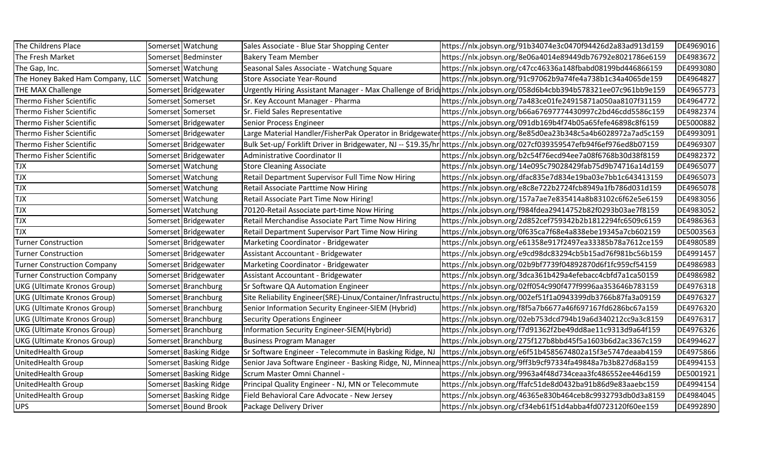| The Childrens Place                |          | Somerset Watchung      | Sales Associate - Blue Star Shopping Center             | https://nlx.jobsyn.org/91b34074e3c0470f94426d2a83ad913d159                                                               | DE4969016 |
|------------------------------------|----------|------------------------|---------------------------------------------------------|--------------------------------------------------------------------------------------------------------------------------|-----------|
| The Fresh Market                   |          | Somerset Bedminster    | <b>Bakery Team Member</b>                               | https://nlx.jobsyn.org/8e06a4014e89449db76792e8021786e6159                                                               | DE4983672 |
| The Gap, Inc.                      |          | Somerset   Watchung    | Seasonal Sales Associate - Watchung Square              | https://nlx.jobsyn.org/c47cc46336a148fbabd08199bd446866159                                                               | DE4993080 |
| The Honey Baked Ham Company, LLC   |          | Somerset   Watchung    | Store Associate Year-Round                              | https://nlx.jobsyn.org/91c97062b9a74fe4a738b1c34a4065de159                                                               | DE4964827 |
| <b>THE MAX Challenge</b>           |          | Somerset Bridgewater   |                                                         | Urgently Hiring Assistant Manager - Max Challenge of Brid https://nlx.jobsyn.org/058d6b4cbb394b578321ee07c961bb9e159     | DE4965773 |
| Thermo Fisher Scientific           |          | Somerset Somerset      | Sr. Key Account Manager - Pharma                        | https://nlx.jobsyn.org/7a483ce01fe24915871a050aa8107f31159                                                               | DE4964772 |
| Thermo Fisher Scientific           |          | Somerset Somerset      | Sr. Field Sales Representative                          | https://nlx.jobsyn.org/b66a67697774430997c2bd46cdd5586c159                                                               | DE4982374 |
| Thermo Fisher Scientific           |          | Somerset Bridgewater   | Senior Process Engineer                                 | https://nlx.jobsyn.org/091db169b4f74b05a65fefe46898c8f6159                                                               | DE5000882 |
| Thermo Fisher Scientific           |          | Somerset Bridgewater   |                                                         | Large Material Handler/FisherPak Operator in Bridgewaterhttps://nlx.jobsyn.org/8e85d0ea23b348c5a4b6028972a7ad5c159       | DE4993091 |
| Thermo Fisher Scientific           |          | Somerset Bridgewater   |                                                         | Bulk Set-up/ Forklift Driver in Bridgewater, NJ -- \$19.35/hr https://nlx.jobsyn.org/027cf039359547efb94f6ef976ed8b07159 | DE4969307 |
| Thermo Fisher Scientific           |          | Somerset Bridgewater   | Administrative Coordinator II                           | https://nlx.jobsyn.org/b2c54f76ecd94ee7a08f6768b30d38f8159                                                               | DE4982372 |
| <b>TJX</b>                         |          | Somerset Watchung      | <b>Store Cleaning Associate</b>                         | https://nlx.jobsyn.org/14e095c79028429fab75d9b74716a14d159                                                               | DE4965077 |
| <b>TJX</b>                         |          | Somerset Watchung      | Retail Department Supervisor Full Time Now Hiring       | https://nlx.jobsyn.org/dfac835e7d834e19ba03e7bb1c643413159                                                               | DE4965073 |
| <b>TJX</b>                         |          | Somerset Watchung      | Retail Associate Parttime Now Hiring                    | https://nlx.jobsyn.org/e8c8e722b2724fcb8949a1fb786d031d159                                                               | DE4965078 |
| <b>TJX</b>                         |          | Somerset Watchung      | Retail Associate Part Time Now Hiring!                  | https://nlx.jobsyn.org/157a7ae7e835414a8b83102c6f62e5e6159                                                               | DE4983056 |
| <b>TJX</b>                         |          | Somerset Watchung      | 70120-Retail Associate part-time Now Hiring             | https://nlx.jobsyn.org/f984fdea29414752b82f0293b03ae7f8159                                                               | DE4983052 |
| <b>TJX</b>                         |          | Somerset Bridgewater   | Retail Merchandise Associate Part Time Now Hiring       | https://nlx.jobsyn.org/2d852cef759342b2b1812294fc6509c6159                                                               | DE4986363 |
| <b>TJX</b>                         |          | Somerset Bridgewater   | Retail Department Supervisor Part Time Now Hiring       | https://nlx.jobsyn.org/0f635ca7f68e4a838ebe19345a7cb602159                                                               | DE5003563 |
| <b>Turner Construction</b>         |          | Somerset Bridgewater   | Marketing Coordinator - Bridgewater                     | https://nlx.jobsyn.org/e61358e917f2497ea33385b78a7612ce159                                                               | DE4980589 |
| <b>Turner Construction</b>         |          | Somerset Bridgewater   | Assistant Accountant - Bridgewater                      | https://nlx.jobsyn.org/e9cd98dc83294cb5b15ad76f981bc56b159                                                               | DE4991457 |
| <b>Turner Construction Company</b> |          | Somerset Bridgewater   | Marketing Coordinator - Bridgewater                     | https://nlx.jobsyn.org/02b9bf7739f04892870d6f1fc959cf54159                                                               | DE4986983 |
| <b>Turner Construction Company</b> |          | Somerset Bridgewater   | Assistant Accountant - Bridgewater                      | https://nlx.jobsyn.org/3dca361b429a4efebacc4cbfd7a1ca50159                                                               | DE4986982 |
| UKG (Ultimate Kronos Group)        |          | Somerset Branchburg    | Sr Software QA Automation Engineer                      | https://nlx.jobsyn.org/02ff054c990f477f9996aa353646b783159                                                               | DE4976318 |
| <b>UKG (Ultimate Kronos Group)</b> |          | Somerset Branchburg    |                                                         | Site Reliability Engineer(SRE)-Linux/Container/Infrastructu https://nlx.jobsyn.org/002ef51f1a0943399db3766b87fa3a09159   | DE4976327 |
| <b>UKG (Ultimate Kronos Group)</b> |          | Somerset Branchburg    | Senior Information Security Engineer-SIEM (Hybrid)      | https://nlx.jobsyn.org/f8f5a7b6677a46f697167fd6286bc67a159                                                               | DE4976320 |
| <b>UKG (Ultimate Kronos Group)</b> | Somerset | <b>Branchburg</b>      | <b>Security Operations Engineer</b>                     | https://nlx.jobsyn.org/02eb753dcd794b19a6d340212cc9a3c8159                                                               | DE4976317 |
| <b>UKG (Ultimate Kronos Group)</b> |          | Somerset Branchburg    | Information Security Engineer-SIEM(Hybrid)              | https://nlx.jobsyn.org/f7d91362f2be49dd8ae11c9313d9a64f159                                                               | DE4976326 |
| <b>UKG (Ultimate Kronos Group)</b> |          | Somerset Branchburg    | <b>Business Program Manager</b>                         | https://nlx.jobsyn.org/275f127b8bbd45f5a1603b6d2ac3367c159                                                               | DE4994627 |
| UnitedHealth Group                 |          | Somerset Basking Ridge | Sr Software Engineer - Telecommute in Basking Ridge, NJ | https://nlx.jobsyn.org/e6f51b4585674802a15f3e5747deaab4159                                                               | DE4975866 |
| UnitedHealth Group                 |          | Somerset Basking Ridge |                                                         | Senior Java Software Engineer - Basking Ridge, NJ, Minnea https://nlx.jobsyn.org/9ff3b9cf97334fa49848a7b3b827d68a159     | DE4994153 |
| <b>UnitedHealth Group</b>          |          | Somerset Basking Ridge | Scrum Master Omni Channel -                             | https://nlx.jobsyn.org/9963a4f48d734ceaa3fc486552ee446d159                                                               | DE5001921 |
| <b>UnitedHealth Group</b>          |          | Somerset Basking Ridge | Principal Quality Engineer - NJ, MN or Telecommute      | https://nlx.jobsyn.org/ffafc51de8d0432ba91b86d9e83aaebc159                                                               | DE4994154 |
| UnitedHealth Group                 |          | Somerset Basking Ridge | Field Behavioral Care Advocate - New Jersey             | https://nlx.jobsyn.org/46365e830b464ceb8c9932793db0d3a8159                                                               | DE4984045 |
| <b>UPS</b>                         |          | Somerset Bound Brook   | Package Delivery Driver                                 | https://nlx.jobsyn.org/cf34eb61f51d4abba4fd0723120f60ee159                                                               | DE4992890 |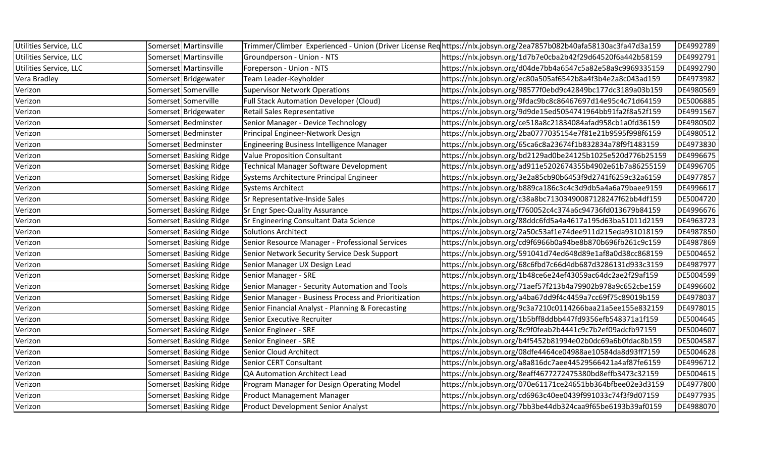| Utilities Service, LLC | Somerset Martinsville  |                                                      | Trimmer/Climber Experienced - Union (Driver License Reqhttps://nlx.jobsyn.org/2ea7857b082b40afa58130ac3fa47d3a159 | DE4992789 |
|------------------------|------------------------|------------------------------------------------------|-------------------------------------------------------------------------------------------------------------------|-----------|
| Utilities Service, LLC | Somerset Martinsville  | Groundperson - Union - NTS                           | https://nlx.jobsyn.org/1d7b7e0cba2b42f29d64520f6a442b58159                                                        | DE4992791 |
| Utilities Service, LLC | Somerset Martinsville  | Foreperson - Union - NTS                             | https://nlx.jobsyn.org/d04de7bb4a6547c5a82e58a9c9969335159                                                        | DE4992790 |
| Vera Bradley           | Somerset Bridgewater   | Team Leader-Keyholder                                | https://nlx.jobsyn.org/ec80a505af6542b8a4f3b4e2a8c043ad159                                                        | DE4973982 |
| Verizon                | Somerset Somerville    | <b>Supervisor Network Operations</b>                 | https://nlx.jobsyn.org/98577f0ebd9c42849bc177dc3189a03b159                                                        | DE4980569 |
| Verizon                | Somerset Somerville    | <b>Full Stack Automation Developer (Cloud)</b>       | https://nlx.jobsyn.org/9fdac9bc8c86467697d14e95c4c71d64159                                                        | DE5006885 |
| Verizon                | Somerset Bridgewater   | Retail Sales Representative                          | https://nlx.jobsyn.org/9d9de15ed5054741964bb91fa2f8a52f159                                                        | DE4991567 |
| Verizon                | Somerset Bedminster    | Senior Manager - Device Technology                   | https://nlx.jobsyn.org/ce518a8c21834084afad958cb1a0fd36159                                                        | DE4980502 |
| Verizon                | Somerset Bedminster    | Principal Engineer-Network Design                    | https://nlx.jobsyn.org/2ba0777035154e7f81e21b9595f998f6159                                                        | DE4980512 |
| Verizon                | Somerset Bedminster    | Engineering Business Intelligence Manager            | https://nlx.jobsyn.org/65ca6c8a23674f1b832834a78f9f1483159                                                        | DE4973830 |
| Verizon                | Somerset Basking Ridge | <b>Value Proposition Consultant</b>                  | https://nlx.jobsyn.org/bd2129ad0be24125b1025e520d776b25159                                                        | DE4996675 |
| Verizon                | Somerset Basking Ridge | Technical Manager Software Development               | https://nlx.jobsyn.org/ad911e5202674355b4902e61b7a86255159                                                        | DE4996705 |
| Verizon                | Somerset Basking Ridge | Systems Architecture Principal Engineer              | https://nlx.jobsyn.org/3e2a85cb90b6453f9d2741f6259c32a6159                                                        | DE4977857 |
| Verizon                | Somerset Basking Ridge | <b>Systems Architect</b>                             | https://nlx.jobsyn.org/b889ca186c3c4c3d9db5a4a6a79baee9159                                                        | DE4996617 |
| Verizon                | Somerset Basking Ridge | Sr Representative-Inside Sales                       | https://nlx.jobsyn.org/c38a8bc71303490087128247f62bb4df159                                                        | DE5004720 |
| Verizon                | Somerset Basking Ridge | <b>Sr Engr Spec-Quality Assurance</b>                | https://nlx.jobsyn.org/f760052c4c374a6c94736fd013679b84159                                                        | DE4996676 |
| Verizon                | Somerset Basking Ridge | Sr Engineering Consultant Data Science               | https://nlx.jobsyn.org/88ddc6fd5a4a4617a195d63ba51011d2159                                                        | DE4963723 |
| Verizon                | Somerset Basking Ridge | Solutions Architect                                  | https://nlx.jobsyn.org/2a50c53af1e74dee911d215eda931018159                                                        | DE4987850 |
| Verizon                | Somerset Basking Ridge | Senior Resource Manager - Professional Services      | https://nlx.jobsyn.org/cd9f6966b0a94be8b870b696fb261c9c159                                                        | DE4987869 |
| Verizon                | Somerset Basking Ridge | Senior Network Security Service Desk Support         | https://nlx.jobsyn.org/591041d74ed648d89e1af8a0d38cc868159                                                        | DE5004652 |
| Verizon                | Somerset Basking Ridge | Senior Manager UX Design Lead                        | https://nlx.jobsyn.org/68c6fbd7c66d4db687d3286131d933c3159                                                        | DE4987977 |
| Verizon                | Somerset Basking Ridge | Senior Manager - SRE                                 | https://nlx.jobsyn.org/1b48ce6e24ef43059ac64dc2ae2f29af159                                                        | DE5004599 |
| Verizon                | Somerset Basking Ridge | Senior Manager - Security Automation and Tools       | https://nlx.jobsyn.org/71aef57f213b4a79902b978a9c652cbe159                                                        | DE4996602 |
| Verizon                | Somerset Basking Ridge | Senior Manager - Business Process and Prioritization | https://nlx.jobsyn.org/a4ba67dd9f4c4459a7cc69f75c89019b159                                                        | DE4978037 |
| Verizon                | Somerset Basking Ridge | Senior Financial Analyst - Planning & Forecasting    | https://nlx.jobsyn.org/9c3a7210c0114266baa21a5ee155e832159                                                        | DE4978015 |
| Verizon                | Somerset Basking Ridge | Senior Executive Recruiter                           | https://nlx.jobsyn.org/1b5bff8ddbb447fd9356efb548371a1f159                                                        | DE5004645 |
| Verizon                | Somerset Basking Ridge | Senior Engineer - SRE                                | https://nlx.jobsyn.org/8c9f0feab2b4441c9c7b2ef09adcfb97159                                                        | DE5004607 |
| Verizon                | Somerset Basking Ridge | Senior Engineer - SRE                                | https://nlx.jobsyn.org/b4f5452b81994e02b0dc69a6b0fdac8b159                                                        | DE5004587 |
| Verizon                | Somerset Basking Ridge | Senior Cloud Architect                               | https://nlx.jobsyn.org/08dfe4464ce04988ae10584da8d93ff7159                                                        | DE5004628 |
| Verizon                | Somerset Basking Ridge | Senior CERT Consultant                               | https://nlx.jobsyn.org/a8a816dc7aee44529566421a4af87fe6159                                                        | DE4996712 |
| Verizon                | Somerset Basking Ridge | QA Automation Architect Lead                         | https://nlx.jobsyn.org/8eaff4677272475380bd8effb3473c32159                                                        | DE5004615 |
| Verizon                | Somerset Basking Ridge | Program Manager for Design Operating Model           | https://nlx.jobsyn.org/070e61171ce24651bb364bfbee02e3d3159                                                        | DE4977800 |
| Verizon                | Somerset Basking Ridge | <b>Product Management Manager</b>                    | https://nlx.jobsyn.org/cd6963c40ee0439f991033c74f3f9d07159                                                        | DE4977935 |
| Verizon                | Somerset Basking Ridge | <b>Product Development Senior Analyst</b>            | https://nlx.jobsyn.org/7bb3be44db324caa9f65be6193b39af0159                                                        | DE4988070 |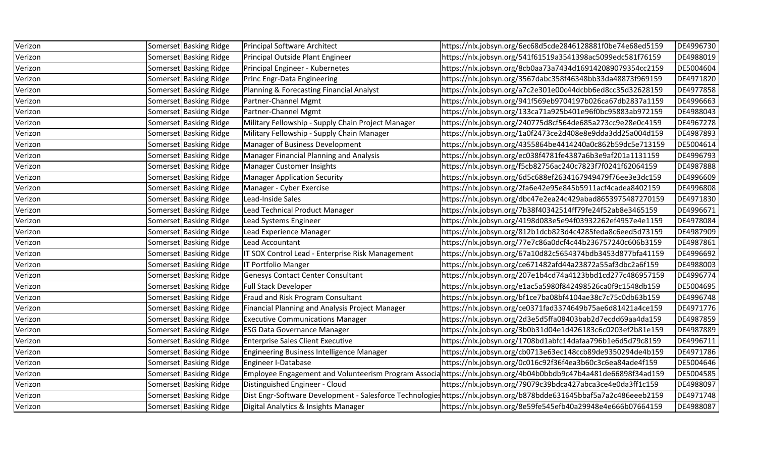| Verizon | Somerset Basking Ridge | Principal Software Architect                       | https://nlx.jobsyn.org/6ec68d5cde2846128881f0be74e68ed5159                                                         | DE4996730 |
|---------|------------------------|----------------------------------------------------|--------------------------------------------------------------------------------------------------------------------|-----------|
| Verizon | Somerset Basking Ridge | Principal Outside Plant Engineer                   | https://nlx.jobsyn.org/541f61519a3541398ac5099edc581f76159                                                         | DE4988019 |
| Verizon | Somerset Basking Ridge | Principal Engineer - Kubernetes                    | https://nlx.jobsyn.org/8cb0aa73a7434d169142089079354cc2159                                                         | DE5004604 |
| Verizon | Somerset Basking Ridge | Princ Engr-Data Engineering                        | https://nlx.jobsyn.org/3567dabc358f46348bb33da48873f969159                                                         | DE4971820 |
| Verizon | Somerset Basking Ridge | Planning & Forecasting Financial Analyst           | https://nlx.jobsyn.org/a7c2e301e00c44dcbb6ed8cc35d32628159                                                         | DE4977858 |
| Verizon | Somerset Basking Ridge | Partner-Channel Mgmt                               | https://nlx.jobsyn.org/941f569eb9704197b026ca67db2837a1159                                                         | DE4996663 |
| Verizon | Somerset Basking Ridge | Partner-Channel Mgmt                               | https://nlx.jobsyn.org/133ca71a925b401e96f0bc95883ab972159                                                         | DE4988043 |
| Verizon | Somerset Basking Ridge | Military Fellowship - Supply Chain Project Manager | https://nlx.jobsyn.org/240775d8cf564de685a273cc9e28e0c4159                                                         | DE4967278 |
| Verizon | Somerset Basking Ridge | Military Fellowship - Supply Chain Manager         | https://nlx.jobsyn.org/1a0f2473ce2d408e8e9dda3dd25a004d159                                                         | DE4987893 |
| Verizon | Somerset Basking Ridge | Manager of Business Development                    | https://nlx.jobsyn.org/4355864be4414240a0c862b59dc5e713159                                                         | DE5004614 |
| Verizon | Somerset Basking Ridge | Manager Financial Planning and Analysis            | https://nlx.jobsyn.org/ec038f4781fe4387a6b3e9af201a1131159                                                         | DE4996793 |
| Verizon | Somerset Basking Ridge | <b>Manager Customer Insights</b>                   | https://nlx.jobsyn.org/f5cb82756ac240c7823f7f0241f62064159                                                         | DE4987888 |
| Verizon | Somerset Basking Ridge | <b>Manager Application Security</b>                | https://nlx.jobsyn.org/6d5c688ef2634167949479f76ee3e3dc159                                                         | DE4996609 |
| Verizon | Somerset Basking Ridge | Manager - Cyber Exercise                           | https://nlx.jobsyn.org/2fa6e42e95e845b5911acf4cadea8402159                                                         | DE4996808 |
| Verizon | Somerset Basking Ridge | Lead-Inside Sales                                  | https://nlx.jobsyn.org/dbc47e2ea24c429abad8653975487270159                                                         | DE4971830 |
| Verizon | Somerset Basking Ridge | Lead Technical Product Manager                     | https://nlx.jobsyn.org/7b38f40342514ff79fe24f52ab8e3465159                                                         | DE4996671 |
| Verizon | Somerset Basking Ridge | Lead Systems Engineer                              | https://nlx.jobsyn.org/4198d083e5e94f03932262ef4957e4e1159                                                         | DE4978084 |
| Verizon | Somerset Basking Ridge | Lead Experience Manager                            | https://nlx.jobsyn.org/812b1dcb823d4c4285feda8c6eed5d73159                                                         | DE4987909 |
| Verizon | Somerset Basking Ridge | Lead Accountant                                    | https://nlx.jobsyn.org/77e7c86a0dcf4c44b236757240c606b3159                                                         | DE4987861 |
| Verizon | Somerset Basking Ridge | IT SOX Control Lead - Enterprise Risk Management   | https://nlx.jobsyn.org/67a10d82c5654374bdb3453d877bfa41159                                                         | DE4996692 |
| Verizon | Somerset Basking Ridge | IT Portfolio Manger                                | https://nlx.jobsyn.org/ce671482afd44a23872a55af3dbc2a6f159                                                         | DE4988003 |
| Verizon | Somerset Basking Ridge | <b>Genesys Contact Center Consultant</b>           | https://nlx.jobsyn.org/207e1b4cd74a4123bbd1cd277c486957159                                                         | DE4996774 |
| Verizon | Somerset Basking Ridge | <b>Full Stack Developer</b>                        | https://nlx.jobsyn.org/e1ac5a5980f842498526ca0f9c1548db159                                                         | DE5004695 |
| Verizon | Somerset Basking Ridge | Fraud and Risk Program Consultant                  | https://nlx.jobsyn.org/bf1ce7ba08bf4104ae38c7c75c0db63b159                                                         | DE4996748 |
| Verizon | Somerset Basking Ridge | Financial Planning and Analysis Project Manager    | https://nlx.jobsyn.org/ce0371fad3374649b75ae6d81421a4ce159                                                         | DE4971776 |
| Verizon | Somerset Basking Ridge | <b>Executive Communications Manager</b>            | https://nlx.jobsyn.org/2d3e5d5ffa08403bab2d7ecdd69aa4da159                                                         | DE4987859 |
| Verizon | Somerset Basking Ridge | <b>ESG Data Governance Manager</b>                 | https://nlx.jobsyn.org/3b0b31d04e1d426183c6c0203ef2b81e159                                                         | DE4987889 |
| Verizon | Somerset Basking Ridge | <b>Enterprise Sales Client Executive</b>           | https://nlx.jobsyn.org/1708bd1abfc14dafaa796b1e6d5d79c8159                                                         | DE4996711 |
| Verizon | Somerset Basking Ridge | <b>Engineering Business Intelligence Manager</b>   | https://nlx.jobsyn.org/cb0713e63ec148ccb89de9350294de4b159                                                         | DE4971786 |
| Verizon | Somerset Basking Ridge | Engineer I-Database                                | https://nlx.jobsyn.org/0c016c92f36f4ea3b60c3c6ea84ade4f159                                                         | DE5004646 |
| Verizon | Somerset Basking Ridge |                                                    | Employee Engagement and Volunteerism Program Associa https://nlx.jobsyn.org/4b04b0bbdb9c47b4a481de66898f34ad159    | DE5004585 |
| Verizon | Somerset Basking Ridge | Distinguished Engineer - Cloud                     | https://nlx.jobsyn.org/79079c39bdca427abca3ce4e0da3ff1c159                                                         | DE4988097 |
| Verizon | Somerset Basking Ridge |                                                    | Dist Engr-Software Development - Salesforce Technologieshttps://nlx.jobsyn.org/b878bdde631645bbaf5a7a2c486eeeb2159 | DE4971748 |
| Verizon | Somerset Basking Ridge | Digital Analytics & Insights Manager               | https://nlx.jobsyn.org/8e59fe545efb40a29948e4e666b07664159                                                         | DE4988087 |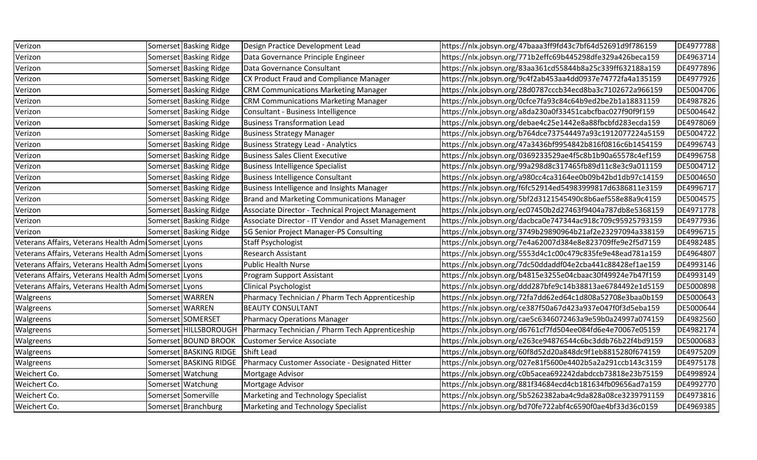| Verizon                                               |                 | Somerset Basking Ridge   | Design Practice Development Lead                    | https://nlx.jobsyn.org/47baaa3ff9fd43c7bf64d52691d9f786159 | DE4977788 |
|-------------------------------------------------------|-----------------|--------------------------|-----------------------------------------------------|------------------------------------------------------------|-----------|
| Verizon                                               |                 | Somerset Basking Ridge   | Data Governance Principle Engineer                  | https://nlx.jobsyn.org/771b2effc69b445298dfe329a426beca159 | DE4963714 |
| Verizon                                               |                 | Somerset Basking Ridge   | Data Governance Consultant                          | https://nlx.jobsyn.org/83aa361cd55844b8a25c339ff632188a159 | DE4977896 |
| Verizon                                               |                 | Somerset Basking Ridge   | CX Product Fraud and Compliance Manager             | https://nlx.jobsyn.org/9c4f2ab453aa4dd0937e74772fa4a135159 | DE4977926 |
| Verizon                                               |                 | Somerset Basking Ridge   | <b>CRM Communications Marketing Manager</b>         | https://nlx.jobsyn.org/28d0787cccb34ecd8ba3c7102672a966159 | DE5004706 |
| Verizon                                               |                 | Somerset Basking Ridge   | <b>CRM Communications Marketing Manager</b>         | https://nlx.jobsyn.org/0cfce7fa93c84c64b9ed2be2b1a18831159 | DE4987826 |
| Verizon                                               |                 | Somerset   Basking Ridge | Consultant - Business Intelligence                  | https://nlx.jobsyn.org/a8da230a0f33451cabcfbac027f90f9f159 | DE5004642 |
| Verizon                                               |                 | Somerset Basking Ridge   | <b>Business Transformation Lead</b>                 | https://nlx.jobsyn.org/debae4c25e1442e8a88fbcbfd283ecda159 | DE4978069 |
| Verizon                                               |                 | Somerset Basking Ridge   | <b>Business Strategy Manager</b>                    | https://nlx.jobsyn.org/b764dce737544497a93c1912077224a5159 | DE5004722 |
| Verizon                                               |                 | Somerset Basking Ridge   | <b>Business Strategy Lead - Analytics</b>           | https://nlx.jobsyn.org/47a3436bf9954842b816f0816c6b1454159 | DE4996743 |
| Verizon                                               |                 | Somerset Basking Ridge   | <b>Business Sales Client Executive</b>              | https://nlx.jobsyn.org/0369233529ae4f5c8b1b90a65578c4ef159 | DE4996758 |
| Verizon                                               |                 | Somerset Basking Ridge   | <b>Business Intelligence Specialist</b>             | https://nlx.jobsyn.org/99a298d8c317465fb89d11c8e3c9a011159 | DE5004712 |
| Verizon                                               |                 | Somerset Basking Ridge   | <b>Business Intelligence Consultant</b>             | https://nlx.jobsyn.org/a980cc4ca3164ee0b09b42bd1db97c14159 | DE5004650 |
| Verizon                                               |                 | Somerset Basking Ridge   | <b>Business Intelligence and Insights Manager</b>   | https://nlx.jobsyn.org/f6fc52914ed54983999817d6386811e3159 | DE4996717 |
| Verizon                                               |                 | Somerset Basking Ridge   | <b>Brand and Marketing Communications Manager</b>   | https://nlx.jobsyn.org/5bf2d3121545490c8b6aef558e88a9c4159 | DE5004575 |
| Verizon                                               |                 | Somerset Basking Ridge   | Associate Director - Technical Project Management   | https://nlx.jobsyn.org/ec07450b2d27463f9404a787db8e5368159 | DE4971778 |
| Verizon                                               |                 | Somerset Basking Ridge   | Associate Director - IT Vendor and Asset Management | https://nlx.jobsyn.org/dacbca0e747344ac918c709c95925793159 | DE4977936 |
| Verizon                                               |                 | Somerset Basking Ridge   | 5G Senior Project Manager-PS Consulting             | https://nlx.jobsyn.org/3749b29890964b21af2e23297094a338159 | DE4996715 |
| Veterans Affairs, Veterans Health Admi Somerset Lyons |                 |                          | <b>Staff Psychologist</b>                           | https://nlx.jobsyn.org/7e4a62007d384e8e823709ffe9e2f5d7159 | DE4982485 |
| Veterans Affairs, Veterans Health Admisomerset Lyons  |                 |                          | <b>Research Assistant</b>                           | https://nlx.jobsyn.org/5553d4c1c00c479c835fe9e48ead781a159 | DE4964807 |
| Veterans Affairs, Veterans Health Adm Somerset Lyons  |                 |                          | <b>Public Health Nurse</b>                          | https://nlx.jobsyn.org/7dc50ddaddf04e2cba441c88428ef1ae159 | DE4993146 |
| Veterans Affairs, Veterans Health Admi Somerset Lyons |                 |                          | Program Support Assistant                           | https://nlx.jobsyn.org/b4815e3255e04cbaac30f49924e7b47f159 | DE4993149 |
| Veterans Affairs, Veterans Health Admi Somerset Lyons |                 |                          | <b>Clinical Psychologist</b>                        | https://nlx.jobsyn.org/ddd287bfe9c14b38813ae6784492e1d5159 | DE5000898 |
| Walgreens                                             | Somerset WARREN |                          | Pharmacy Technician / Pharm Tech Apprenticeship     | https://nlx.jobsyn.org/72fa7dd62ed64c1d808a52708e3baa0b159 | DE5000643 |
| Walgreens                                             |                 | Somerset WARREN          | <b>BEAUTY CONSULTANT</b>                            | https://nlx.jobsyn.org/ce387f50a67d423a937e047f0f3d5eba159 | DE5000644 |
| Walgreens                                             |                 | Somerset SOMERSET        | <b>Pharmacy Operations Manager</b>                  | https://nlx.jobsyn.org/cae5c6346072463a9e59b0a24997a074159 | DE4982560 |
| Walgreens                                             |                 | Somerset HILLSBOROUGH    | Pharmacy Technician / Pharm Tech Apprenticeship     | https://nlx.jobsyn.org/d6761cf7fd504ee084fd6e4e70067e05159 | DE4982174 |
| Walgreens                                             |                 | Somerset BOUND BROOK     | <b>Customer Service Associate</b>                   | https://nlx.jobsyn.org/e263ce94876544c6bc3ddb76b22f4bd9159 | DE5000683 |
| Walgreens                                             |                 | Somerset BASKING RIDGE   | <b>Shift Lead</b>                                   | https://nlx.jobsyn.org/60f8d52d20a848dc9f1eb8815280f674159 | DE4975209 |
| Walgreens                                             |                 | Somerset BASKING RIDGE   | Pharmacy Customer Associate - Designated Hitter     | https://nlx.jobsyn.org/027e81f5600e4402b5a2a291ccb143c3159 | DE4975178 |
| Weichert Co.                                          |                 | Somerset Watchung        | Mortgage Advisor                                    | https://nlx.jobsyn.org/c0b5acea692242dabdccb73818e23b75159 | DE4998924 |
| Weichert Co.                                          |                 | Somerset Watchung        | Mortgage Advisor                                    | https://nlx.jobsyn.org/881f34684ecd4cb181634fb09656ad7a159 | DE4992770 |
| Weichert Co.                                          |                 | Somerset Somerville      | Marketing and Technology Specialist                 | https://nlx.jobsyn.org/5b5262382aba4c9da828a08ce3239791159 | DE4973816 |
| Weichert Co.                                          |                 | Somerset Branchburg      | Marketing and Technology Specialist                 | https://nlx.jobsyn.org/bd70fe722abf4c6590f0ae4bf33d36c0159 | DE4969385 |